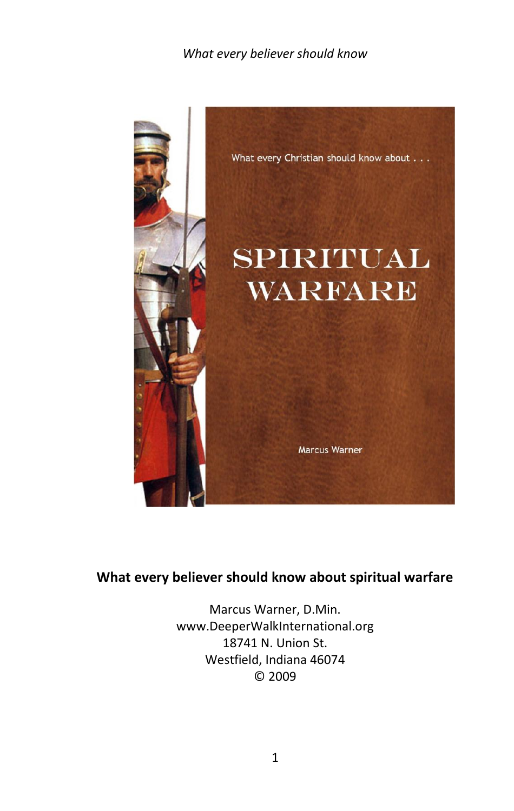

### **What every believer should know about spiritual warfare**

Marcus Warner, D.Min. www.DeeperWalkInternational.org 18741 N. Union St. Westfield, Indiana 46074 © 2009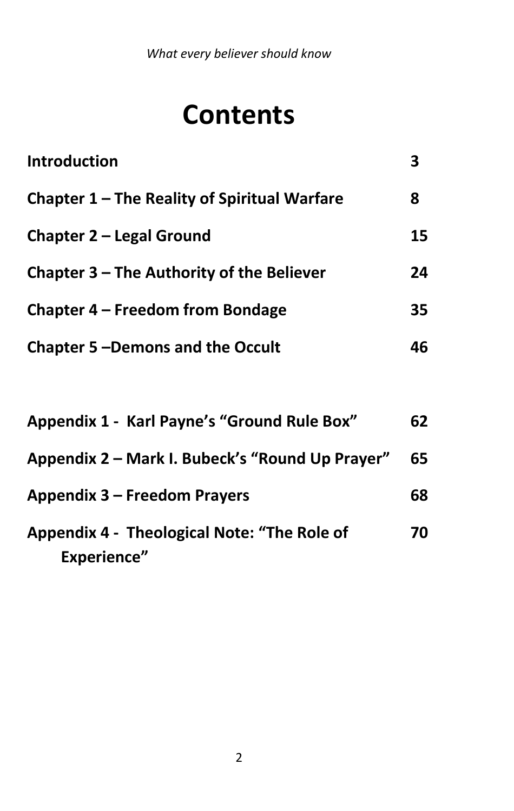# **Contents**

| <b>Introduction</b>                            |    |
|------------------------------------------------|----|
| Chapter $1$ – The Reality of Spiritual Warfare | 8  |
| Chapter $2 -$ Legal Ground                     | 15 |
| Chapter $3$ – The Authority of the Believer    | 24 |
| Chapter 4 – Freedom from Bondage               | 35 |
| <b>Chapter 5 –Demons and the Occult</b>        | 46 |
|                                                |    |
|                                                |    |

| Appendix 1 - Karl Payne's "Ground Rule Box"                       | 62 |
|-------------------------------------------------------------------|----|
| Appendix 2 – Mark I. Bubeck's "Round Up Prayer"                   | 65 |
| <b>Appendix 3 – Freedom Prayers</b>                               | 68 |
| Appendix 4 - Theological Note: "The Role of<br><b>Experience"</b> | 70 |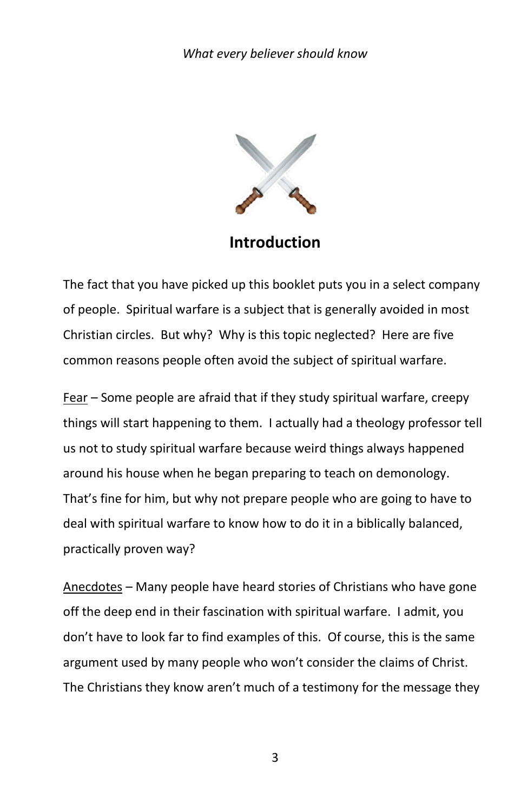

## **Introduction**

The fact that you have picked up this booklet puts you in a select company of people. Spiritual warfare is a subject that is generally avoided in most Christian circles. But why? Why is this topic neglected? Here are five common reasons people often avoid the subject of spiritual warfare.

Fear – Some people are afraid that if they study spiritual warfare, creepy things will start happening to them. I actually had a theology professor tell us not to study spiritual warfare because weird things always happened around his house when he began preparing to teach on demonology. That's fine for him, but why not prepare people who are going to have to deal with spiritual warfare to know how to do it in a biblically balanced, practically proven way?

Anecdotes – Many people have heard stories of Christians who have gone off the deep end in their fascination with spiritual warfare. I admit, you don't have to look far to find examples of this. Of course, this is the same argument used by many people who won't consider the claims of Christ. The Christians they know aren't much of a testimony for the message they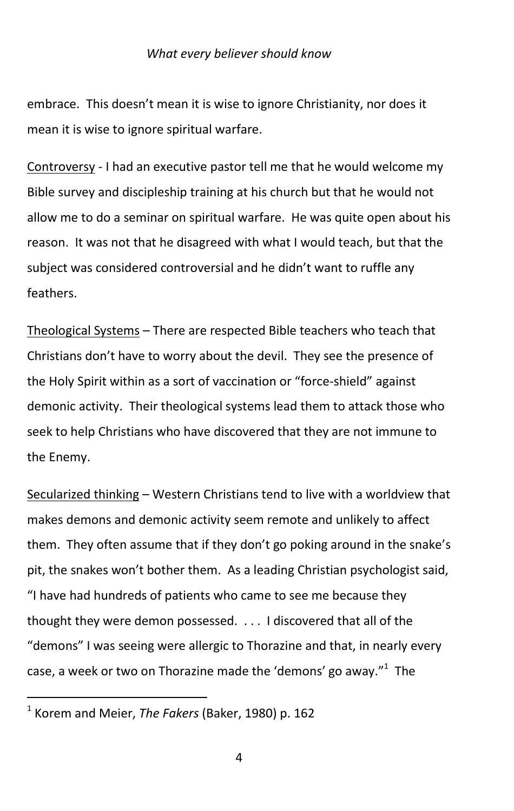embrace. This doesn't mean it is wise to ignore Christianity, nor does it mean it is wise to ignore spiritual warfare.

Controversy - I had an executive pastor tell me that he would welcome my Bible survey and discipleship training at his church but that he would not allow me to do a seminar on spiritual warfare. He was quite open about his reason. It was not that he disagreed with what I would teach, but that the subject was considered controversial and he didn't want to ruffle any feathers.

Theological Systems – There are respected Bible teachers who teach that Christians don't have to worry about the devil. They see the presence of the Holy Spirit within as a sort of vaccination or "force-shield" against demonic activity. Their theological systems lead them to attack those who seek to help Christians who have discovered that they are not immune to the Enemy.

Secularized thinking – Western Christians tend to live with a worldview that makes demons and demonic activity seem remote and unlikely to affect them. They often assume that if they don't go poking around in the snake's pit, the snakes won't bother them. As a leading Christian psychologist said, "I have had hundreds of patients who came to see me because they thought they were demon possessed. . . . I discovered that all of the "demons" I was seeing were allergic to Thorazine and that, in nearly every case, a week or two on Thorazine made the 'demons' go away."<sup>1</sup> The

 $\ddot{\phantom{a}}$ 

<sup>1</sup> Korem and Meier, *The Fakers* (Baker, 1980) p. 162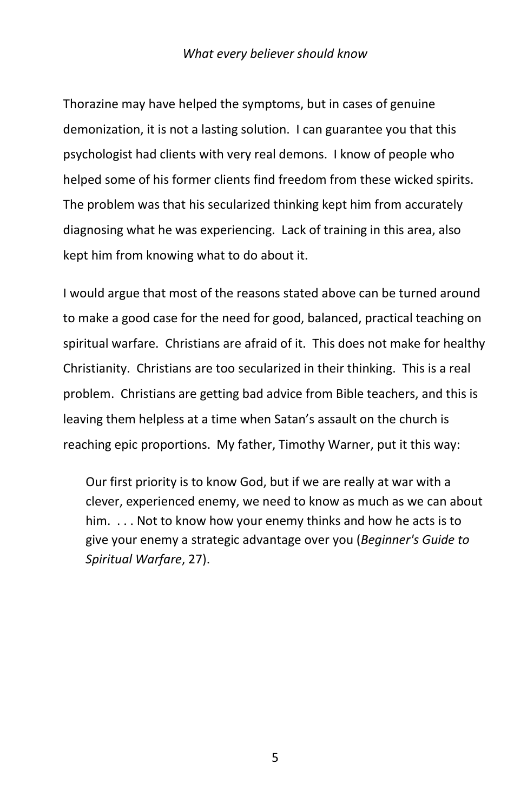Thorazine may have helped the symptoms, but in cases of genuine demonization, it is not a lasting solution. I can guarantee you that this psychologist had clients with very real demons. I know of people who helped some of his former clients find freedom from these wicked spirits. The problem was that his secularized thinking kept him from accurately diagnosing what he was experiencing. Lack of training in this area, also kept him from knowing what to do about it.

I would argue that most of the reasons stated above can be turned around to make a good case for the need for good, balanced, practical teaching on spiritual warfare. Christians are afraid of it. This does not make for healthy Christianity. Christians are too secularized in their thinking. This is a real problem. Christians are getting bad advice from Bible teachers, and this is leaving them helpless at a time when Satan's assault on the church is reaching epic proportions. My father, Timothy Warner, put it this way:

Our first priority is to know God, but if we are really at war with a clever, experienced enemy, we need to know as much as we can about him. . . . Not to know how your enemy thinks and how he acts is to give your enemy a strategic advantage over you (*Beginner's Guide to Spiritual Warfare*, 27).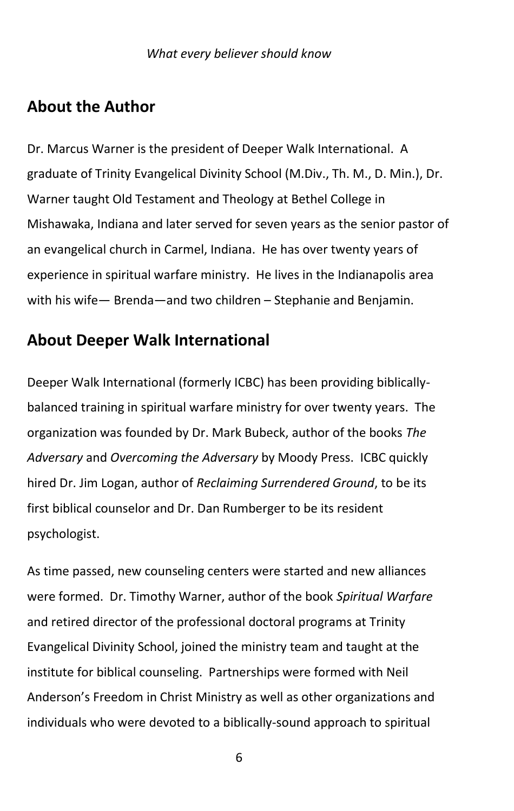# **About the Author**

Dr. Marcus Warner is the president of Deeper Walk International. A graduate of Trinity Evangelical Divinity School (M.Div., Th. M., D. Min.), Dr. Warner taught Old Testament and Theology at Bethel College in Mishawaka, Indiana and later served for seven years as the senior pastor of an evangelical church in Carmel, Indiana. He has over twenty years of experience in spiritual warfare ministry. He lives in the Indianapolis area with his wife— Brenda—and two children – Stephanie and Benjamin.

### **About Deeper Walk International**

Deeper Walk International (formerly ICBC) has been providing biblicallybalanced training in spiritual warfare ministry for over twenty years. The organization was founded by Dr. Mark Bubeck, author of the books *The Adversary* and *Overcoming the Adversary* by Moody Press. ICBC quickly hired Dr. Jim Logan, author of *Reclaiming Surrendered Ground*, to be its first biblical counselor and Dr. Dan Rumberger to be its resident psychologist.

As time passed, new counseling centers were started and new alliances were formed. Dr. Timothy Warner, author of the book *Spiritual Warfare* and retired director of the professional doctoral programs at Trinity Evangelical Divinity School, joined the ministry team and taught at the institute for biblical counseling. Partnerships were formed with Neil Anderson's Freedom in Christ Ministry as well as other organizations and individuals who were devoted to a biblically-sound approach to spiritual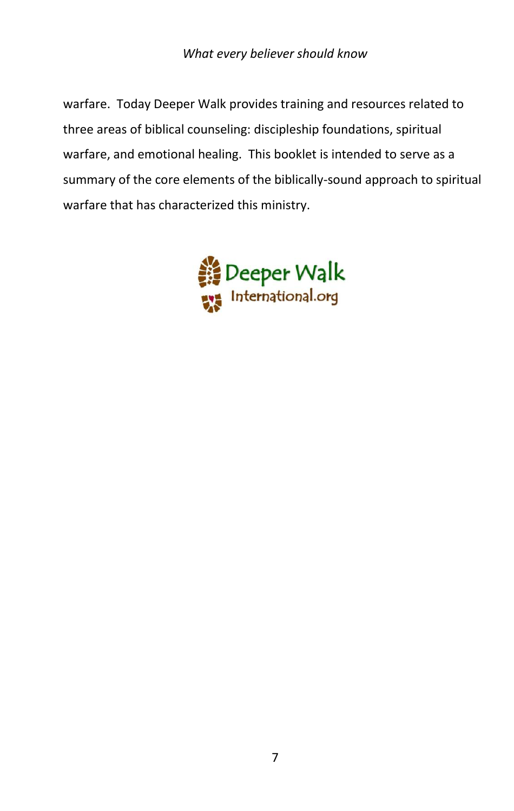warfare. Today Deeper Walk provides training and resources related to three areas of biblical counseling: discipleship foundations, spiritual warfare, and emotional healing. This booklet is intended to serve as a summary of the core elements of the biblically-sound approach to spiritual warfare that has characterized this ministry.

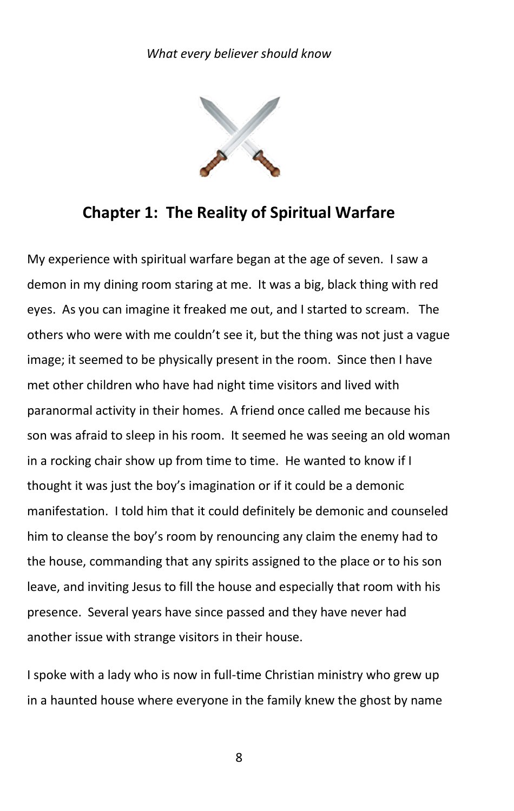

### **Chapter 1: The Reality of Spiritual Warfare**

My experience with spiritual warfare began at the age of seven. I saw a demon in my dining room staring at me. It was a big, black thing with red eyes. As you can imagine it freaked me out, and I started to scream. The others who were with me couldn't see it, but the thing was not just a vague image; it seemed to be physically present in the room. Since then I have met other children who have had night time visitors and lived with paranormal activity in their homes. A friend once called me because his son was afraid to sleep in his room. It seemed he was seeing an old woman in a rocking chair show up from time to time. He wanted to know if I thought it was just the boy's imagination or if it could be a demonic manifestation. I told him that it could definitely be demonic and counseled him to cleanse the boy's room by renouncing any claim the enemy had to the house, commanding that any spirits assigned to the place or to his son leave, and inviting Jesus to fill the house and especially that room with his presence. Several years have since passed and they have never had another issue with strange visitors in their house.

I spoke with a lady who is now in full-time Christian ministry who grew up in a haunted house where everyone in the family knew the ghost by name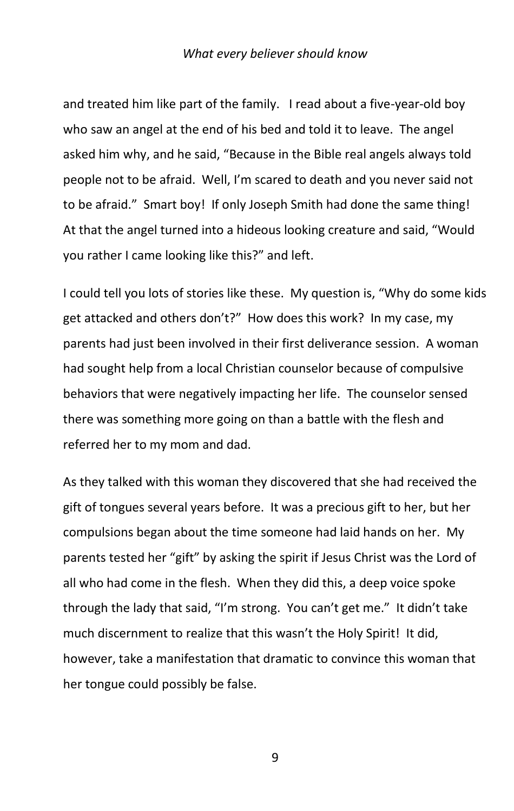and treated him like part of the family. I read about a five-year-old boy who saw an angel at the end of his bed and told it to leave. The angel asked him why, and he said, "Because in the Bible real angels always told people not to be afraid. Well, I'm scared to death and you never said not to be afraid." Smart boy! If only Joseph Smith had done the same thing! At that the angel turned into a hideous looking creature and said, "Would you rather I came looking like this?" and left.

I could tell you lots of stories like these. My question is, "Why do some kids get attacked and others don't?" How does this work? In my case, my parents had just been involved in their first deliverance session. A woman had sought help from a local Christian counselor because of compulsive behaviors that were negatively impacting her life. The counselor sensed there was something more going on than a battle with the flesh and referred her to my mom and dad.

As they talked with this woman they discovered that she had received the gift of tongues several years before. It was a precious gift to her, but her compulsions began about the time someone had laid hands on her. My parents tested her "gift" by asking the spirit if Jesus Christ was the Lord of all who had come in the flesh. When they did this, a deep voice spoke through the lady that said, "I'm strong. You can't get me." It didn't take much discernment to realize that this wasn't the Holy Spirit! It did, however, take a manifestation that dramatic to convince this woman that her tongue could possibly be false.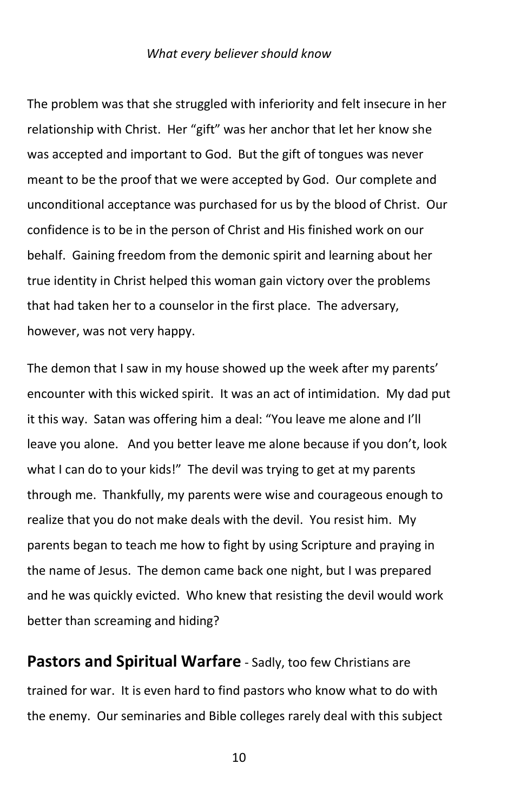The problem was that she struggled with inferiority and felt insecure in her relationship with Christ. Her "gift" was her anchor that let her know she was accepted and important to God. But the gift of tongues was never meant to be the proof that we were accepted by God. Our complete and unconditional acceptance was purchased for us by the blood of Christ. Our confidence is to be in the person of Christ and His finished work on our behalf. Gaining freedom from the demonic spirit and learning about her true identity in Christ helped this woman gain victory over the problems that had taken her to a counselor in the first place. The adversary, however, was not very happy.

The demon that I saw in my house showed up the week after my parents' encounter with this wicked spirit. It was an act of intimidation. My dad put it this way. Satan was offering him a deal: "You leave me alone and I'll leave you alone. And you better leave me alone because if you don't, look what I can do to your kids!" The devil was trying to get at my parents through me. Thankfully, my parents were wise and courageous enough to realize that you do not make deals with the devil. You resist him. My parents began to teach me how to fight by using Scripture and praying in the name of Jesus. The demon came back one night, but I was prepared and he was quickly evicted. Who knew that resisting the devil would work better than screaming and hiding?

Pastors and Spiritual Warfare - Sadly, too few Christians are trained for war. It is even hard to find pastors who know what to do with the enemy. Our seminaries and Bible colleges rarely deal with this subject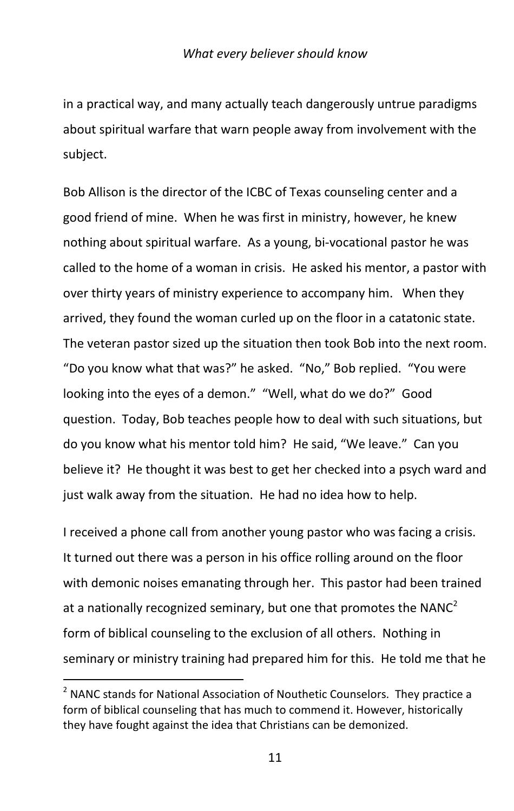in a practical way, and many actually teach dangerously untrue paradigms about spiritual warfare that warn people away from involvement with the subject.

Bob Allison is the director of the ICBC of Texas counseling center and a good friend of mine. When he was first in ministry, however, he knew nothing about spiritual warfare. As a young, bi-vocational pastor he was called to the home of a woman in crisis. He asked his mentor, a pastor with over thirty years of ministry experience to accompany him. When they arrived, they found the woman curled up on the floor in a catatonic state. The veteran pastor sized up the situation then took Bob into the next room. "Do you know what that was?" he asked. "No," Bob replied. "You were looking into the eyes of a demon." "Well, what do we do?" Good question. Today, Bob teaches people how to deal with such situations, but do you know what his mentor told him? He said, "We leave." Can you believe it? He thought it was best to get her checked into a psych ward and just walk away from the situation. He had no idea how to help.

I received a phone call from another young pastor who was facing a crisis. It turned out there was a person in his office rolling around on the floor with demonic noises emanating through her. This pastor had been trained at a nationally recognized seminary, but one that promotes the NANC<sup>2</sup> form of biblical counseling to the exclusion of all others. Nothing in seminary or ministry training had prepared him for this. He told me that he

 2 NANC stands for National Association of Nouthetic Counselors. They practice a form of biblical counseling that has much to commend it. However, historically they have fought against the idea that Christians can be demonized.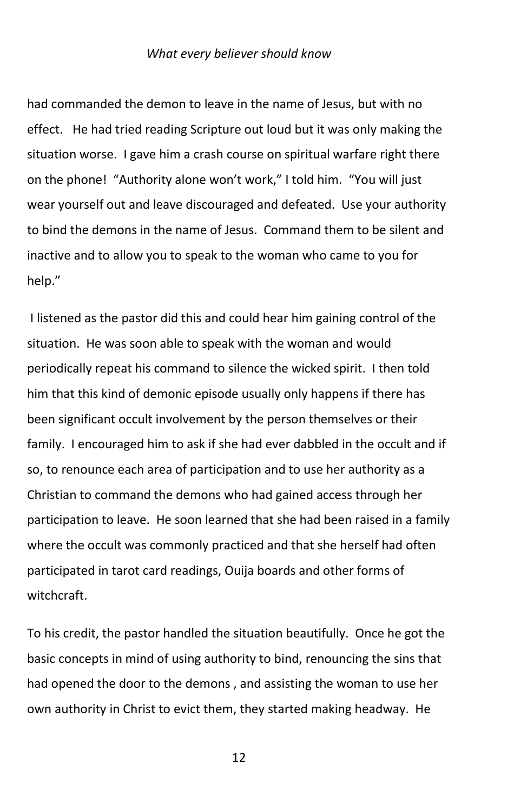had commanded the demon to leave in the name of Jesus, but with no effect. He had tried reading Scripture out loud but it was only making the situation worse. I gave him a crash course on spiritual warfare right there on the phone! "Authority alone won't work," I told him. "You will just wear yourself out and leave discouraged and defeated. Use your authority to bind the demons in the name of Jesus. Command them to be silent and inactive and to allow you to speak to the woman who came to you for help."

I listened as the pastor did this and could hear him gaining control of the situation. He was soon able to speak with the woman and would periodically repeat his command to silence the wicked spirit. I then told him that this kind of demonic episode usually only happens if there has been significant occult involvement by the person themselves or their family. I encouraged him to ask if she had ever dabbled in the occult and if so, to renounce each area of participation and to use her authority as a Christian to command the demons who had gained access through her participation to leave. He soon learned that she had been raised in a family where the occult was commonly practiced and that she herself had often participated in tarot card readings, Ouija boards and other forms of witchcraft.

To his credit, the pastor handled the situation beautifully. Once he got the basic concepts in mind of using authority to bind, renouncing the sins that had opened the door to the demons , and assisting the woman to use her own authority in Christ to evict them, they started making headway. He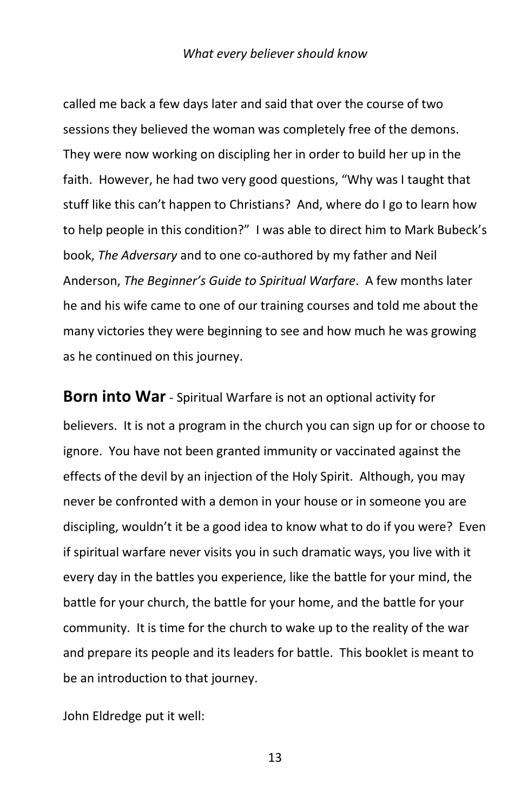called me back a few days later and said that over the course of two sessions they believed the woman was completely free of the demons. They were now working on discipling her in order to build her up in the faith. However, he had two very good questions, "Why was I taught that stuff like this can't happen to Christians? And, where do I go to learn how to help people in this condition?" I was able to direct him to Mark Bubeck's book, *The Adversary* and to one co-authored by my father and Neil Anderson, *The Beginner's Guide to Spiritual Warfare*. A few months later he and his wife came to one of our training courses and told me about the many victories they were beginning to see and how much he was growing as he continued on this journey.

**Born into War** - Spiritual Warfare is not an optional activity for believers. It is not a program in the church you can sign up for or choose to ignore. You have not been granted immunity or vaccinated against the effects of the devil by an injection of the Holy Spirit. Although, you may never be confronted with a demon in your house or in someone you are discipling, wouldn't it be a good idea to know what to do if you were? Even if spiritual warfare never visits you in such dramatic ways, you live with it every day in the battles you experience, like the battle for your mind, the battle for your church, the battle for your home, and the battle for your community. It is time for the church to wake up to the reality of the war and prepare its people and its leaders for battle. This booklet is meant to be an introduction to that journey.

John Eldredge put it well: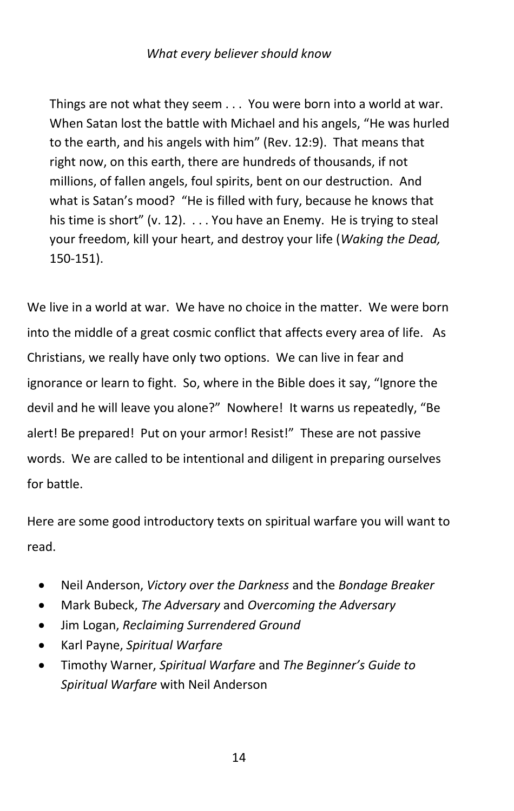Things are not what they seem . . . You were born into a world at war. When Satan lost the battle with Michael and his angels, "He was hurled to the earth, and his angels with him" (Rev. 12:9). That means that right now, on this earth, there are hundreds of thousands, if not millions, of fallen angels, foul spirits, bent on our destruction. And what is Satan's mood? "He is filled with fury, because he knows that his time is short" (v. 12). . . . You have an Enemy. He is trying to steal your freedom, kill your heart, and destroy your life (*Waking the Dead,* 150-151).

We live in a world at war. We have no choice in the matter. We were born into the middle of a great cosmic conflict that affects every area of life. As Christians, we really have only two options. We can live in fear and ignorance or learn to fight. So, where in the Bible does it say, "Ignore the devil and he will leave you alone?" Nowhere! It warns us repeatedly, "Be alert! Be prepared! Put on your armor! Resist!" These are not passive words. We are called to be intentional and diligent in preparing ourselves for battle.

Here are some good introductory texts on spiritual warfare you will want to read.

- Neil Anderson, *Victory over the Darkness* and the *Bondage Breaker*
- Mark Bubeck, *The Adversary* and *Overcoming the Adversary*
- Jim Logan, *Reclaiming Surrendered Ground*
- Karl Payne, *Spiritual Warfare*
- Timothy Warner, *Spiritual Warfare* and *The Beginner's Guide to Spiritual Warfare* with Neil Anderson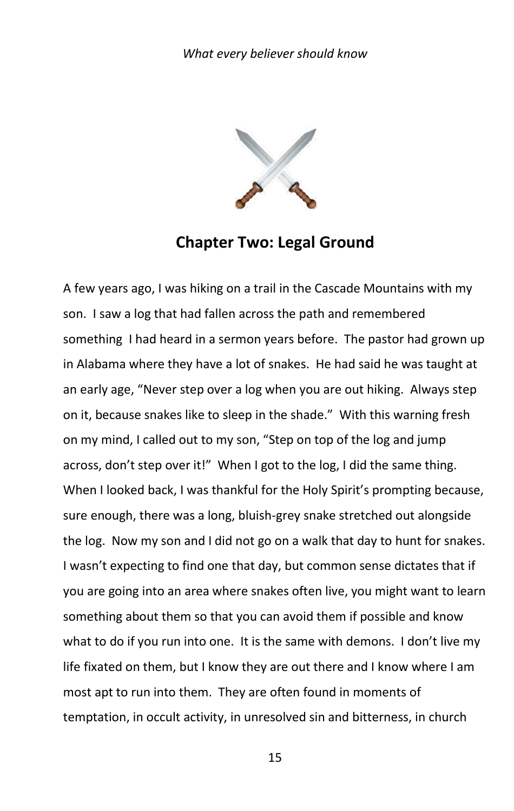

### **Chapter Two: Legal Ground**

A few years ago, I was hiking on a trail in the Cascade Mountains with my son. I saw a log that had fallen across the path and remembered something I had heard in a sermon years before. The pastor had grown up in Alabama where they have a lot of snakes. He had said he was taught at an early age, "Never step over a log when you are out hiking. Always step on it, because snakes like to sleep in the shade." With this warning fresh on my mind, I called out to my son, "Step on top of the log and jump across, don't step over it!" When I got to the log, I did the same thing. When I looked back, I was thankful for the Holy Spirit's prompting because, sure enough, there was a long, bluish-grey snake stretched out alongside the log. Now my son and I did not go on a walk that day to hunt for snakes. I wasn't expecting to find one that day, but common sense dictates that if you are going into an area where snakes often live, you might want to learn something about them so that you can avoid them if possible and know what to do if you run into one. It is the same with demons. I don't live my life fixated on them, but I know they are out there and I know where I am most apt to run into them. They are often found in moments of temptation, in occult activity, in unresolved sin and bitterness, in church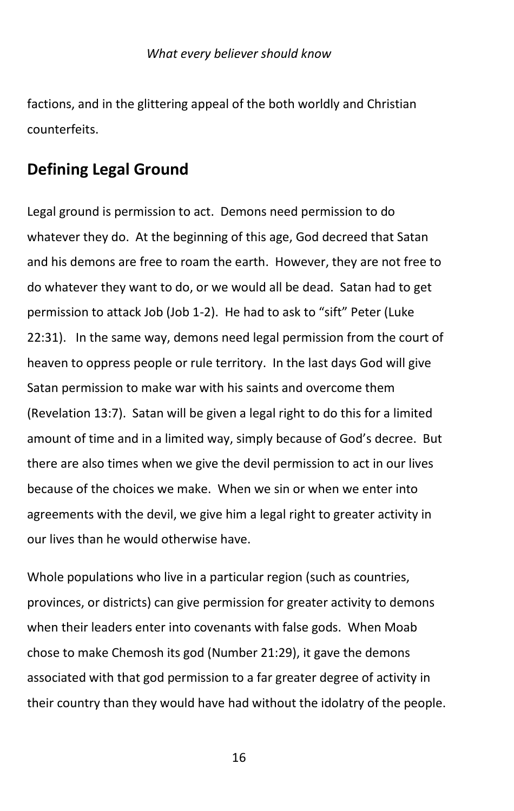factions, and in the glittering appeal of the both worldly and Christian counterfeits.

### **Defining Legal Ground**

Legal ground is permission to act. Demons need permission to do whatever they do. At the beginning of this age, God decreed that Satan and his demons are free to roam the earth. However, they are not free to do whatever they want to do, or we would all be dead. Satan had to get permission to attack Job (Job 1-2). He had to ask to "sift" Peter (Luke 22:31). In the same way, demons need legal permission from the court of heaven to oppress people or rule territory. In the last days God will give Satan permission to make war with his saints and overcome them (Revelation 13:7). Satan will be given a legal right to do this for a limited amount of time and in a limited way, simply because of God's decree. But there are also times when we give the devil permission to act in our lives because of the choices we make. When we sin or when we enter into agreements with the devil, we give him a legal right to greater activity in our lives than he would otherwise have.

Whole populations who live in a particular region (such as countries, provinces, or districts) can give permission for greater activity to demons when their leaders enter into covenants with false gods. When Moab chose to make Chemosh its god (Number 21:29), it gave the demons associated with that god permission to a far greater degree of activity in their country than they would have had without the idolatry of the people.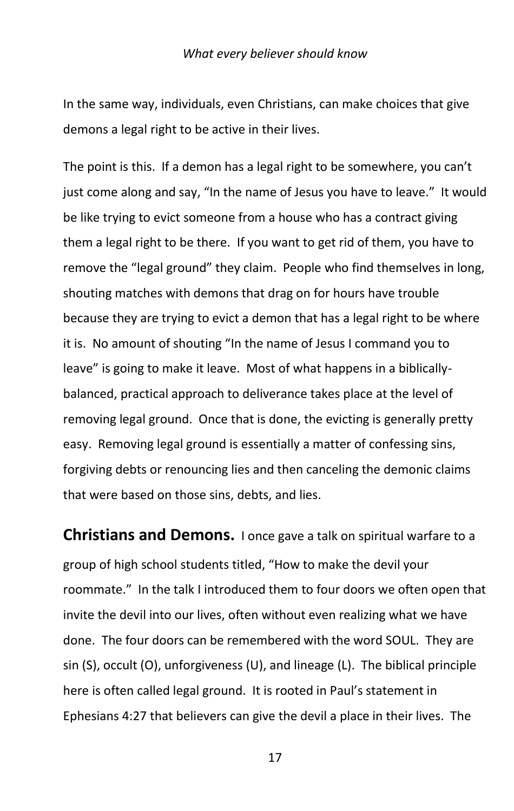In the same way, individuals, even Christians, can make choices that give demons a legal right to be active in their lives.

The point is this. If a demon has a legal right to be somewhere, you can't just come along and say, "In the name of Jesus you have to leave." It would be like trying to evict someone from a house who has a contract giving them a legal right to be there. If you want to get rid of them, you have to remove the "legal ground" they claim. People who find themselves in long, shouting matches with demons that drag on for hours have trouble because they are trying to evict a demon that has a legal right to be where it is. No amount of shouting "In the name of Jesus I command you to leave" is going to make it leave. Most of what happens in a biblicallybalanced, practical approach to deliverance takes place at the level of removing legal ground. Once that is done, the evicting is generally pretty easy. Removing legal ground is essentially a matter of confessing sins, forgiving debts or renouncing lies and then canceling the demonic claims that were based on those sins, debts, and lies.

**Christians and Demons.** I once gave a talk on spiritual warfare to a group of high school students titled, "How to make the devil your roommate." In the talk I introduced them to four doors we often open that invite the devil into our lives, often without even realizing what we have done. The four doors can be remembered with the word SOUL. They are sin  $(S)$ , occult  $(O)$ , unforgiveness  $(U)$ , and lineage  $(L)$ . The biblical principle here is often called legal ground. It is rooted in Paul's statement in Ephesians 4:27 that believers can give the devil a place in their lives. The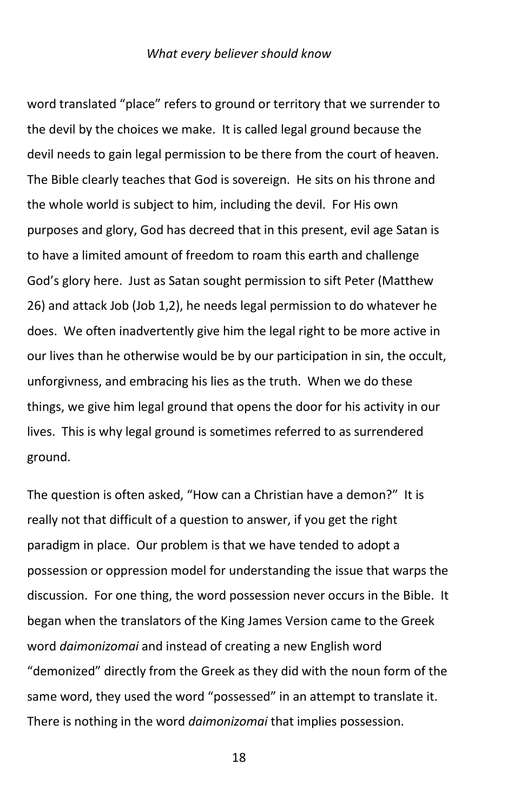word translated "place" refers to ground or territory that we surrender to the devil by the choices we make. It is called legal ground because the devil needs to gain legal permission to be there from the court of heaven. The Bible clearly teaches that God is sovereign. He sits on his throne and the whole world is subject to him, including the devil. For His own purposes and glory, God has decreed that in this present, evil age Satan is to have a limited amount of freedom to roam this earth and challenge God's glory here. Just as Satan sought permission to sift Peter (Matthew 26) and attack Job (Job 1,2), he needs legal permission to do whatever he does. We often inadvertently give him the legal right to be more active in our lives than he otherwise would be by our participation in sin, the occult, unforgivness, and embracing his lies as the truth. When we do these things, we give him legal ground that opens the door for his activity in our lives. This is why legal ground is sometimes referred to as surrendered ground.

The question is often asked, "How can a Christian have a demon?" It is really not that difficult of a question to answer, if you get the right paradigm in place. Our problem is that we have tended to adopt a possession or oppression model for understanding the issue that warps the discussion. For one thing, the word possession never occurs in the Bible. It began when the translators of the King James Version came to the Greek word *daimonizomai* and instead of creating a new English word "demonized" directly from the Greek as they did with the noun form of the same word, they used the word "possessed" in an attempt to translate it. There is nothing in the word *daimonizomai* that implies possession.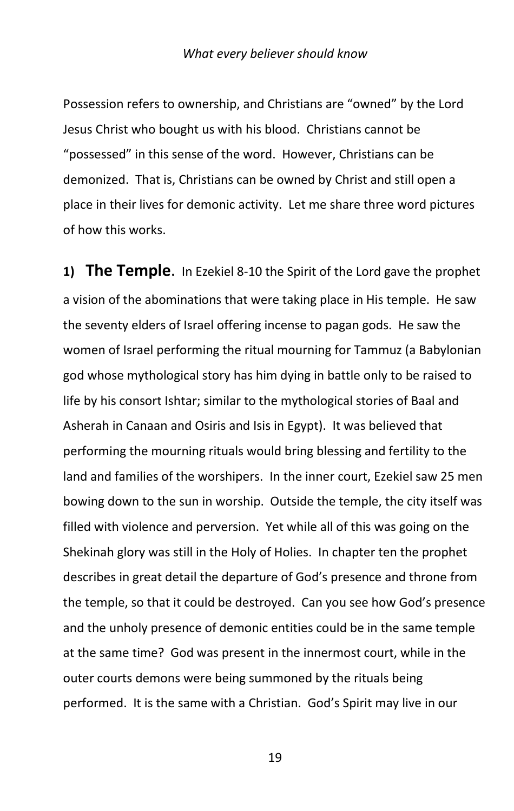Possession refers to ownership, and Christians are "owned" by the Lord Jesus Christ who bought us with his blood. Christians cannot be "possessed" in this sense of the word. However, Christians can be demonized. That is, Christians can be owned by Christ and still open a place in their lives for demonic activity. Let me share three word pictures of how this works.

**1) The Temple**. In Ezekiel 8-10 the Spirit of the Lord gave the prophet a vision of the abominations that were taking place in His temple. He saw the seventy elders of Israel offering incense to pagan gods. He saw the women of Israel performing the ritual mourning for Tammuz (a Babylonian god whose mythological story has him dying in battle only to be raised to life by his consort Ishtar; similar to the mythological stories of Baal and Asherah in Canaan and Osiris and Isis in Egypt). It was believed that performing the mourning rituals would bring blessing and fertility to the land and families of the worshipers. In the inner court, Ezekiel saw 25 men bowing down to the sun in worship. Outside the temple, the city itself was filled with violence and perversion. Yet while all of this was going on the Shekinah glory was still in the Holy of Holies. In chapter ten the prophet describes in great detail the departure of God's presence and throne from the temple, so that it could be destroyed. Can you see how God's presence and the unholy presence of demonic entities could be in the same temple at the same time? God was present in the innermost court, while in the outer courts demons were being summoned by the rituals being performed. It is the same with a Christian. God's Spirit may live in our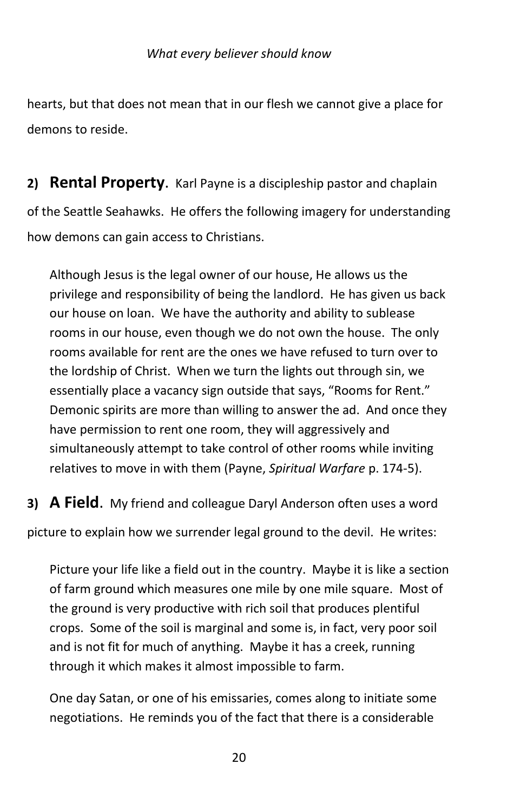hearts, but that does not mean that in our flesh we cannot give a place for demons to reside.

**2) Rental Property**. Karl Payne is a discipleship pastor and chaplain of the Seattle Seahawks. He offers the following imagery for understanding how demons can gain access to Christians.

Although Jesus is the legal owner of our house, He allows us the privilege and responsibility of being the landlord. He has given us back our house on loan. We have the authority and ability to sublease rooms in our house, even though we do not own the house. The only rooms available for rent are the ones we have refused to turn over to the lordship of Christ. When we turn the lights out through sin, we essentially place a vacancy sign outside that says, "Rooms for Rent." Demonic spirits are more than willing to answer the ad. And once they have permission to rent one room, they will aggressively and simultaneously attempt to take control of other rooms while inviting relatives to move in with them (Payne, *Spiritual Warfare* p. 174-5).

**3) A Field**. My friend and colleague Daryl Anderson often uses a word

picture to explain how we surrender legal ground to the devil. He writes:

Picture your life like a field out in the country. Maybe it is like a section of farm ground which measures one mile by one mile square. Most of the ground is very productive with rich soil that produces plentiful crops. Some of the soil is marginal and some is, in fact, very poor soil and is not fit for much of anything. Maybe it has a creek, running through it which makes it almost impossible to farm.

One day Satan, or one of his emissaries, comes along to initiate some negotiations. He reminds you of the fact that there is a considerable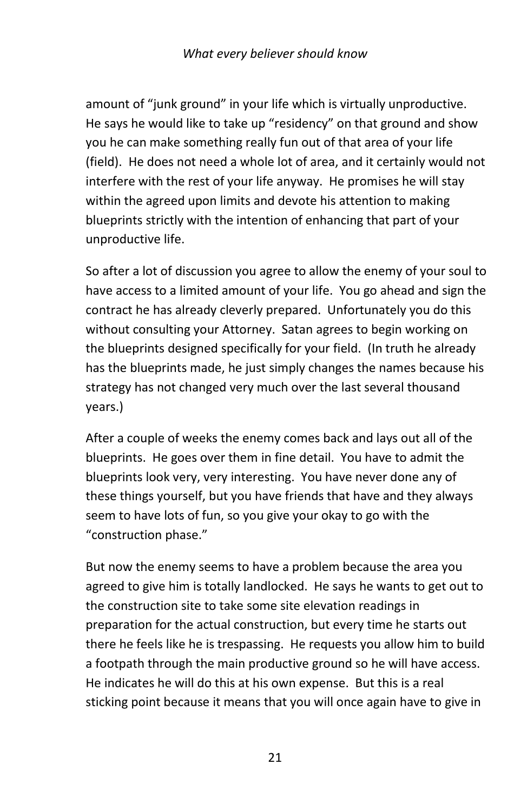amount of "junk ground" in your life which is virtually unproductive. He says he would like to take up "residency" on that ground and show you he can make something really fun out of that area of your life (field). He does not need a whole lot of area, and it certainly would not interfere with the rest of your life anyway. He promises he will stay within the agreed upon limits and devote his attention to making blueprints strictly with the intention of enhancing that part of your unproductive life.

So after a lot of discussion you agree to allow the enemy of your soul to have access to a limited amount of your life. You go ahead and sign the contract he has already cleverly prepared. Unfortunately you do this without consulting your Attorney. Satan agrees to begin working on the blueprints designed specifically for your field. (In truth he already has the blueprints made, he just simply changes the names because his strategy has not changed very much over the last several thousand years.)

After a couple of weeks the enemy comes back and lays out all of the blueprints. He goes over them in fine detail. You have to admit the blueprints look very, very interesting. You have never done any of these things yourself, but you have friends that have and they always seem to have lots of fun, so you give your okay to go with the "construction phase."

But now the enemy seems to have a problem because the area you agreed to give him is totally landlocked. He says he wants to get out to the construction site to take some site elevation readings in preparation for the actual construction, but every time he starts out there he feels like he is trespassing. He requests you allow him to build a footpath through the main productive ground so he will have access. He indicates he will do this at his own expense. But this is a real sticking point because it means that you will once again have to give in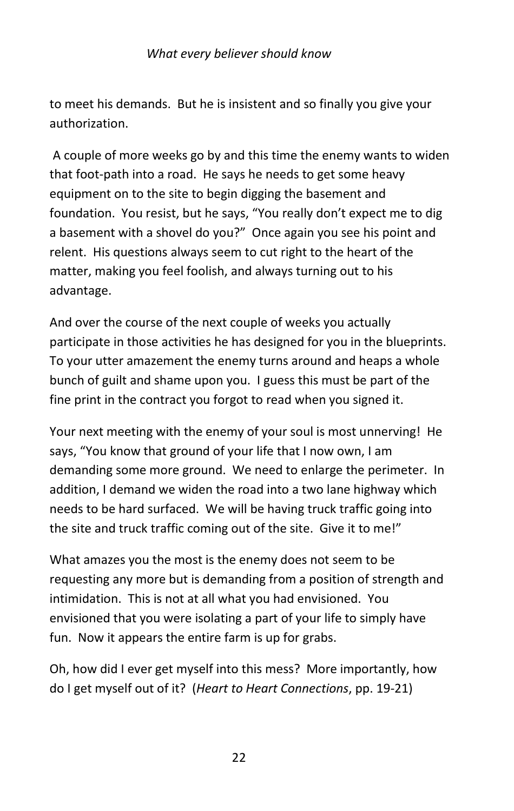to meet his demands. But he is insistent and so finally you give your authorization.

A couple of more weeks go by and this time the enemy wants to widen that foot-path into a road. He says he needs to get some heavy equipment on to the site to begin digging the basement and foundation. You resist, but he says, "You really don't expect me to dig a basement with a shovel do you?" Once again you see his point and relent. His questions always seem to cut right to the heart of the matter, making you feel foolish, and always turning out to his advantage.

And over the course of the next couple of weeks you actually participate in those activities he has designed for you in the blueprints. To your utter amazement the enemy turns around and heaps a whole bunch of guilt and shame upon you. I guess this must be part of the fine print in the contract you forgot to read when you signed it.

Your next meeting with the enemy of your soul is most unnerving! He says, "You know that ground of your life that I now own, I am demanding some more ground. We need to enlarge the perimeter. In addition, I demand we widen the road into a two lane highway which needs to be hard surfaced. We will be having truck traffic going into the site and truck traffic coming out of the site. Give it to me!"

What amazes you the most is the enemy does not seem to be requesting any more but is demanding from a position of strength and intimidation. This is not at all what you had envisioned. You envisioned that you were isolating a part of your life to simply have fun. Now it appears the entire farm is up for grabs.

Oh, how did I ever get myself into this mess? More importantly, how do I get myself out of it? (*Heart to Heart Connections*, pp. 19-21)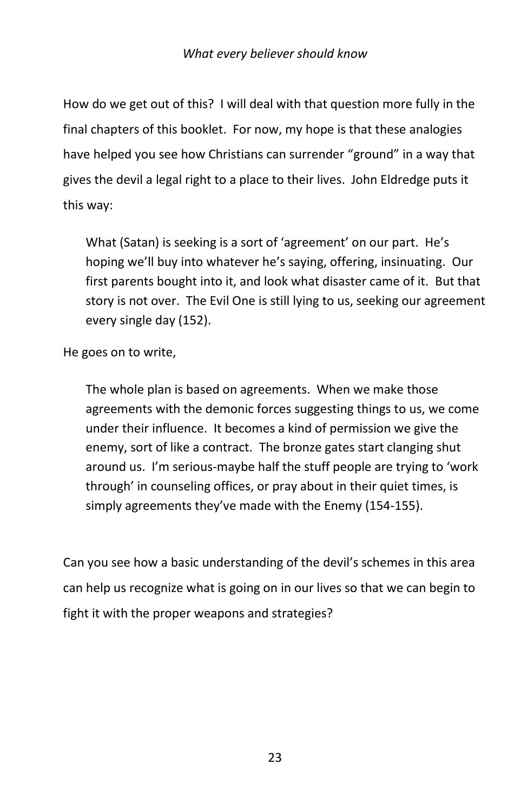How do we get out of this? I will deal with that question more fully in the final chapters of this booklet. For now, my hope is that these analogies have helped you see how Christians can surrender "ground" in a way that gives the devil a legal right to a place to their lives. John Eldredge puts it this way:

What (Satan) is seeking is a sort of 'agreement' on our part. He's hoping we'll buy into whatever he's saying, offering, insinuating. Our first parents bought into it, and look what disaster came of it. But that story is not over. The Evil One is still lying to us, seeking our agreement every single day (152).

He goes on to write,

The whole plan is based on agreements. When we make those agreements with the demonic forces suggesting things to us, we come under their influence. It becomes a kind of permission we give the enemy, sort of like a contract. The bronze gates start clanging shut around us. I'm serious-maybe half the stuff people are trying to 'work through' in counseling offices, or pray about in their quiet times, is simply agreements they've made with the Enemy (154-155).

Can you see how a basic understanding of the devil's schemes in this area can help us recognize what is going on in our lives so that we can begin to fight it with the proper weapons and strategies?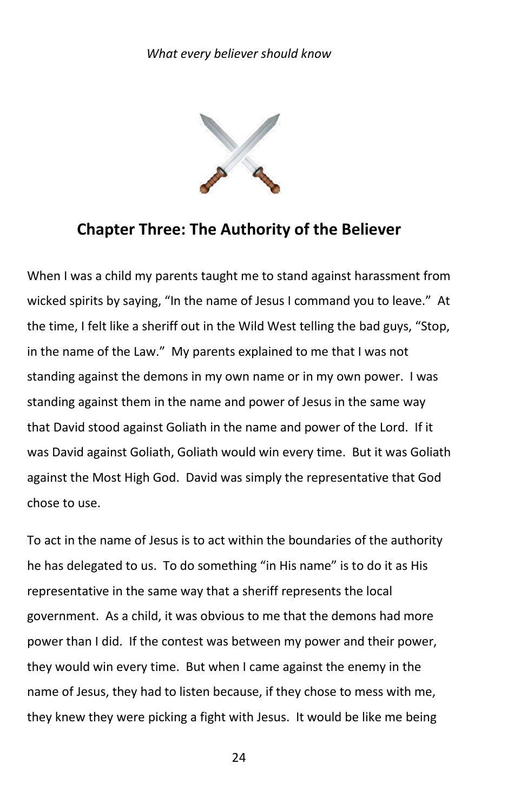

### **Chapter Three: The Authority of the Believer**

When I was a child my parents taught me to stand against harassment from wicked spirits by saying, "In the name of Jesus I command you to leave." At the time, I felt like a sheriff out in the Wild West telling the bad guys, "Stop, in the name of the Law." My parents explained to me that I was not standing against the demons in my own name or in my own power. I was standing against them in the name and power of Jesus in the same way that David stood against Goliath in the name and power of the Lord. If it was David against Goliath, Goliath would win every time. But it was Goliath against the Most High God. David was simply the representative that God chose to use.

To act in the name of Jesus is to act within the boundaries of the authority he has delegated to us. To do something "in His name" is to do it as His representative in the same way that a sheriff represents the local government. As a child, it was obvious to me that the demons had more power than I did. If the contest was between my power and their power, they would win every time. But when I came against the enemy in the name of Jesus, they had to listen because, if they chose to mess with me, they knew they were picking a fight with Jesus. It would be like me being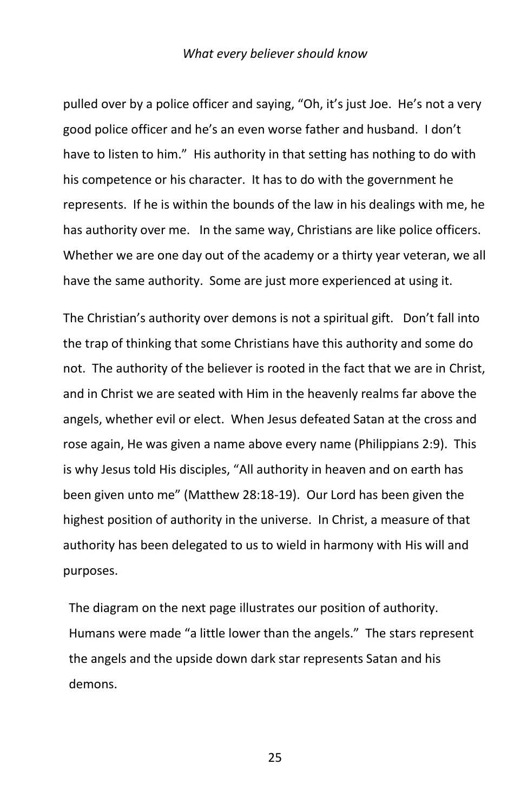pulled over by a police officer and saying, "Oh, it's just Joe. He's not a very good police officer and he's an even worse father and husband. I don't have to listen to him." His authority in that setting has nothing to do with his competence or his character. It has to do with the government he represents. If he is within the bounds of the law in his dealings with me, he has authority over me. In the same way, Christians are like police officers. Whether we are one day out of the academy or a thirty year veteran, we all have the same authority. Some are just more experienced at using it.

The Christian's authority over demons is not a spiritual gift. Don't fall into the trap of thinking that some Christians have this authority and some do not. The authority of the believer is rooted in the fact that we are in Christ, and in Christ we are seated with Him in the heavenly realms far above the angels, whether evil or elect. When Jesus defeated Satan at the cross and rose again, He was given a name above every name (Philippians 2:9). This is why Jesus told His disciples, "All authority in heaven and on earth has been given unto me" (Matthew 28:18-19). Our Lord has been given the highest position of authority in the universe. In Christ, a measure of that authority has been delegated to us to wield in harmony with His will and purposes.

The diagram on the next page illustrates our position of authority. Humans were made "a little lower than the angels." The stars represent the angels and the upside down dark star represents Satan and his demons.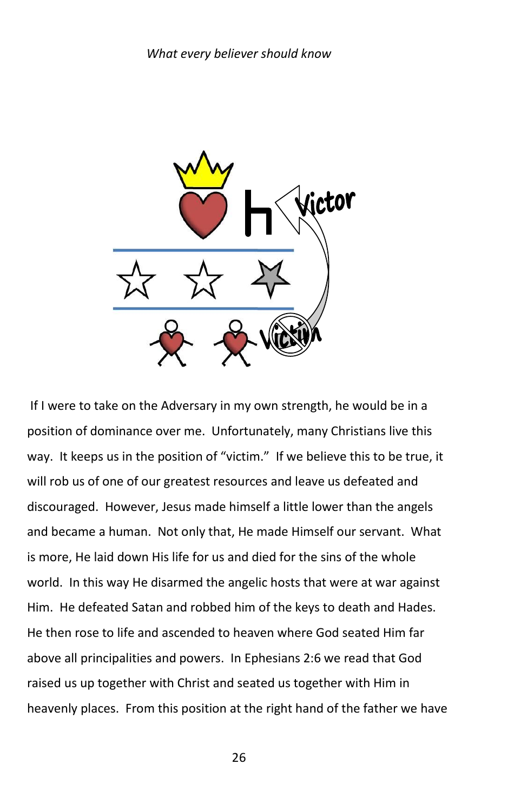

If I were to take on the Adversary in my own strength, he would be in a position of dominance over me. Unfortunately, many Christians live this way. It keeps us in the position of "victim." If we believe this to be true, it will rob us of one of our greatest resources and leave us defeated and discouraged. However, Jesus made himself a little lower than the angels and became a human. Not only that, He made Himself our servant. What is more, He laid down His life for us and died for the sins of the whole world. In this way He disarmed the angelic hosts that were at war against Him. He defeated Satan and robbed him of the keys to death and Hades. He then rose to life and ascended to heaven where God seated Him far above all principalities and powers. In Ephesians 2:6 we read that God raised us up together with Christ and seated us together with Him in heavenly places. From this position at the right hand of the father we have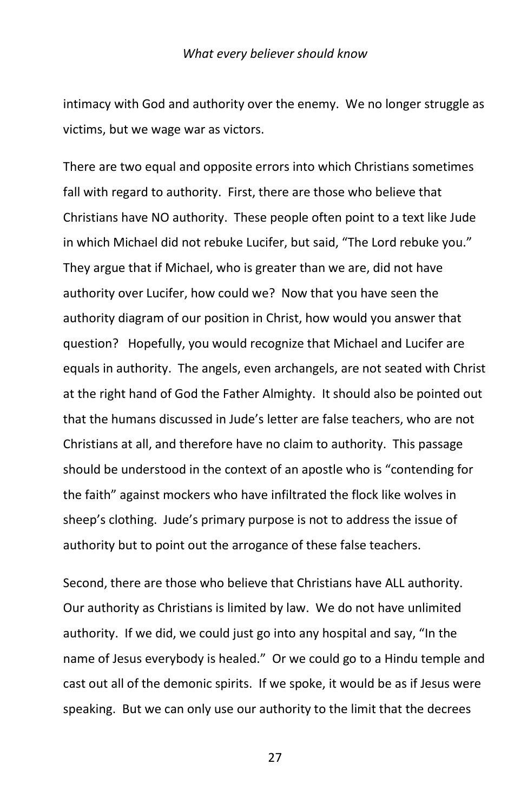intimacy with God and authority over the enemy. We no longer struggle as victims, but we wage war as victors.

There are two equal and opposite errors into which Christians sometimes fall with regard to authority. First, there are those who believe that Christians have NO authority. These people often point to a text like Jude in which Michael did not rebuke Lucifer, but said, "The Lord rebuke you." They argue that if Michael, who is greater than we are, did not have authority over Lucifer, how could we? Now that you have seen the authority diagram of our position in Christ, how would you answer that question? Hopefully, you would recognize that Michael and Lucifer are equals in authority. The angels, even archangels, are not seated with Christ at the right hand of God the Father Almighty. It should also be pointed out that the humans discussed in Jude's letter are false teachers, who are not Christians at all, and therefore have no claim to authority. This passage should be understood in the context of an apostle who is "contending for the faith" against mockers who have infiltrated the flock like wolves in sheep's clothing. Jude's primary purpose is not to address the issue of authority but to point out the arrogance of these false teachers.

Second, there are those who believe that Christians have ALL authority. Our authority as Christians is limited by law. We do not have unlimited authority. If we did, we could just go into any hospital and say, "In the name of Jesus everybody is healed." Or we could go to a Hindu temple and cast out all of the demonic spirits. If we spoke, it would be as if Jesus were speaking. But we can only use our authority to the limit that the decrees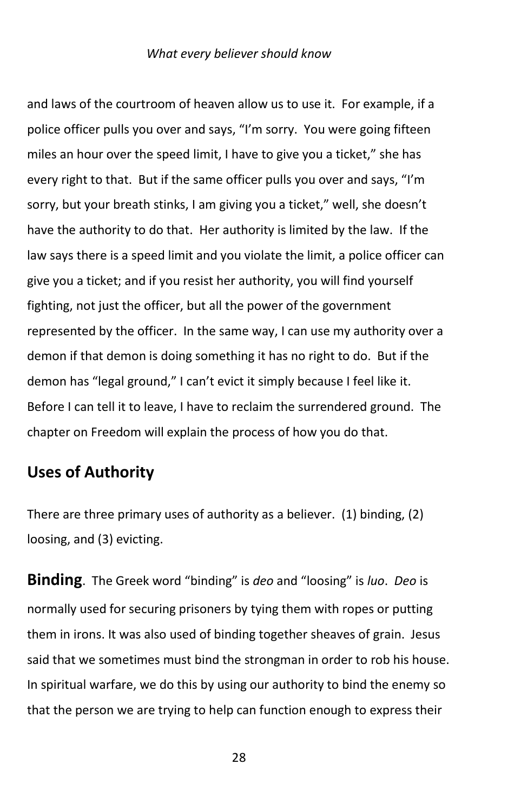and laws of the courtroom of heaven allow us to use it. For example, if a police officer pulls you over and says, "I'm sorry. You were going fifteen miles an hour over the speed limit, I have to give you a ticket," she has every right to that. But if the same officer pulls you over and says, "I'm sorry, but your breath stinks, I am giving you a ticket," well, she doesn't have the authority to do that. Her authority is limited by the law. If the law says there is a speed limit and you violate the limit, a police officer can give you a ticket; and if you resist her authority, you will find yourself fighting, not just the officer, but all the power of the government represented by the officer. In the same way, I can use my authority over a demon if that demon is doing something it has no right to do. But if the demon has "legal ground," I can't evict it simply because I feel like it. Before I can tell it to leave, I have to reclaim the surrendered ground. The chapter on Freedom will explain the process of how you do that.

### **Uses of Authority**

There are three primary uses of authority as a believer. (1) binding, (2) loosing, and (3) evicting.

**Binding**. The Greek word "binding" is *deo* and "loosing" is *luo*. *Deo* is normally used for securing prisoners by tying them with ropes or putting them in irons. It was also used of binding together sheaves of grain. Jesus said that we sometimes must bind the strongman in order to rob his house. In spiritual warfare, we do this by using our authority to bind the enemy so that the person we are trying to help can function enough to express their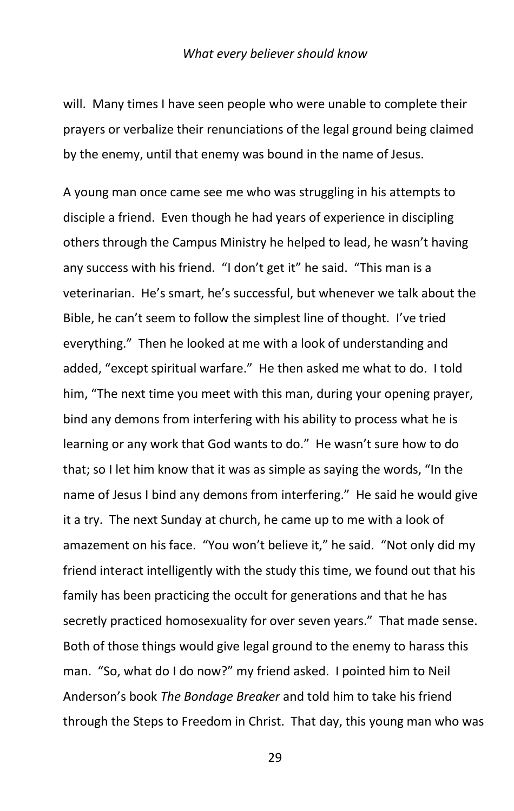will. Many times I have seen people who were unable to complete their prayers or verbalize their renunciations of the legal ground being claimed by the enemy, until that enemy was bound in the name of Jesus.

A young man once came see me who was struggling in his attempts to disciple a friend. Even though he had years of experience in discipling others through the Campus Ministry he helped to lead, he wasn't having any success with his friend. "I don't get it" he said. "This man is a veterinarian. He's smart, he's successful, but whenever we talk about the Bible, he can't seem to follow the simplest line of thought. I've tried everything." Then he looked at me with a look of understanding and added, "except spiritual warfare." He then asked me what to do. I told him, "The next time you meet with this man, during your opening prayer, bind any demons from interfering with his ability to process what he is learning or any work that God wants to do." He wasn't sure how to do that; so I let him know that it was as simple as saying the words, "In the name of Jesus I bind any demons from interfering." He said he would give it a try. The next Sunday at church, he came up to me with a look of amazement on his face. "You won't believe it," he said. "Not only did my friend interact intelligently with the study this time, we found out that his family has been practicing the occult for generations and that he has secretly practiced homosexuality for over seven years." That made sense. Both of those things would give legal ground to the enemy to harass this man. "So, what do I do now?" my friend asked. I pointed him to Neil Anderson's book *The Bondage Breaker* and told him to take his friend through the Steps to Freedom in Christ. That day, this young man who was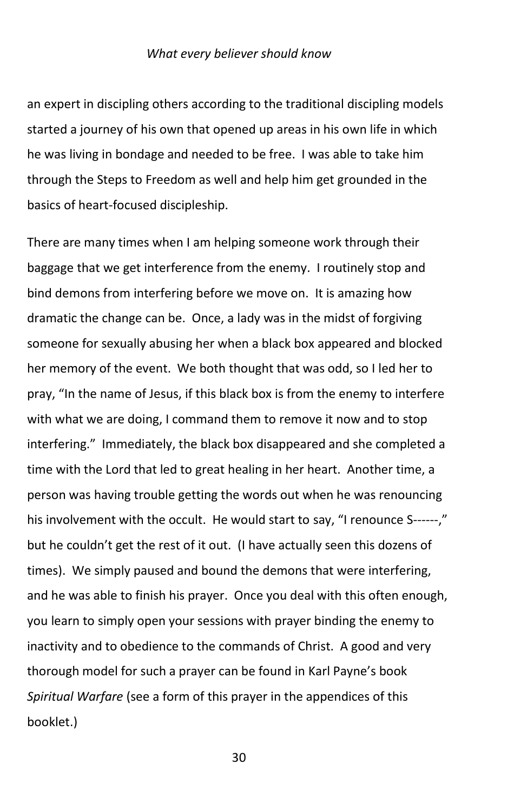an expert in discipling others according to the traditional discipling models started a journey of his own that opened up areas in his own life in which he was living in bondage and needed to be free. I was able to take him through the Steps to Freedom as well and help him get grounded in the basics of heart-focused discipleship.

There are many times when I am helping someone work through their baggage that we get interference from the enemy. I routinely stop and bind demons from interfering before we move on. It is amazing how dramatic the change can be. Once, a lady was in the midst of forgiving someone for sexually abusing her when a black box appeared and blocked her memory of the event. We both thought that was odd, so I led her to pray, "In the name of Jesus, if this black box is from the enemy to interfere with what we are doing, I command them to remove it now and to stop interfering." Immediately, the black box disappeared and she completed a time with the Lord that led to great healing in her heart. Another time, a person was having trouble getting the words out when he was renouncing his involvement with the occult. He would start to say, "I renounce S------," but he couldn't get the rest of it out. (I have actually seen this dozens of times). We simply paused and bound the demons that were interfering, and he was able to finish his prayer. Once you deal with this often enough, you learn to simply open your sessions with prayer binding the enemy to inactivity and to obedience to the commands of Christ. A good and very thorough model for such a prayer can be found in Karl Payne's book *Spiritual Warfare* (see a form of this prayer in the appendices of this booklet.)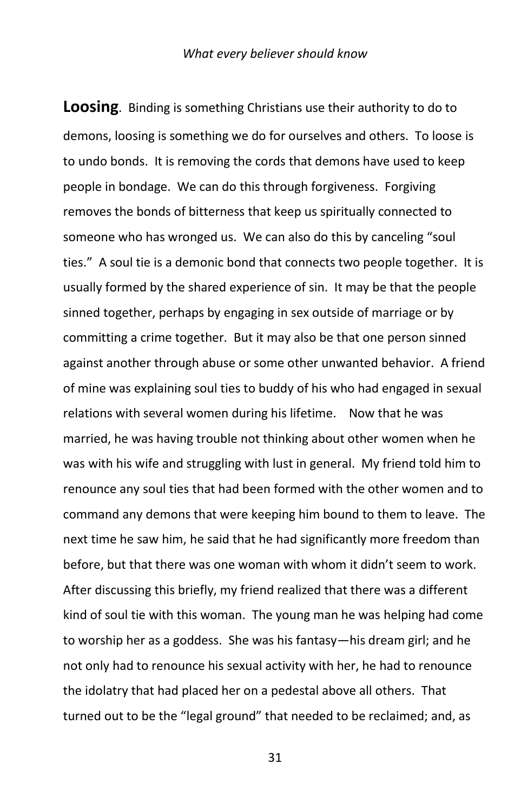**Loosing**. Binding is something Christians use their authority to do to demons, loosing is something we do for ourselves and others. To loose is to undo bonds. It is removing the cords that demons have used to keep people in bondage. We can do this through forgiveness. Forgiving removes the bonds of bitterness that keep us spiritually connected to someone who has wronged us. We can also do this by canceling "soul ties." A soul tie is a demonic bond that connects two people together. It is usually formed by the shared experience of sin. It may be that the people sinned together, perhaps by engaging in sex outside of marriage or by committing a crime together. But it may also be that one person sinned against another through abuse or some other unwanted behavior. A friend of mine was explaining soul ties to buddy of his who had engaged in sexual relations with several women during his lifetime. Now that he was married, he was having trouble not thinking about other women when he was with his wife and struggling with lust in general. My friend told him to renounce any soul ties that had been formed with the other women and to command any demons that were keeping him bound to them to leave. The next time he saw him, he said that he had significantly more freedom than before, but that there was one woman with whom it didn't seem to work. After discussing this briefly, my friend realized that there was a different kind of soul tie with this woman. The young man he was helping had come to worship her as a goddess. She was his fantasy—his dream girl; and he not only had to renounce his sexual activity with her, he had to renounce the idolatry that had placed her on a pedestal above all others. That turned out to be the "legal ground" that needed to be reclaimed; and, as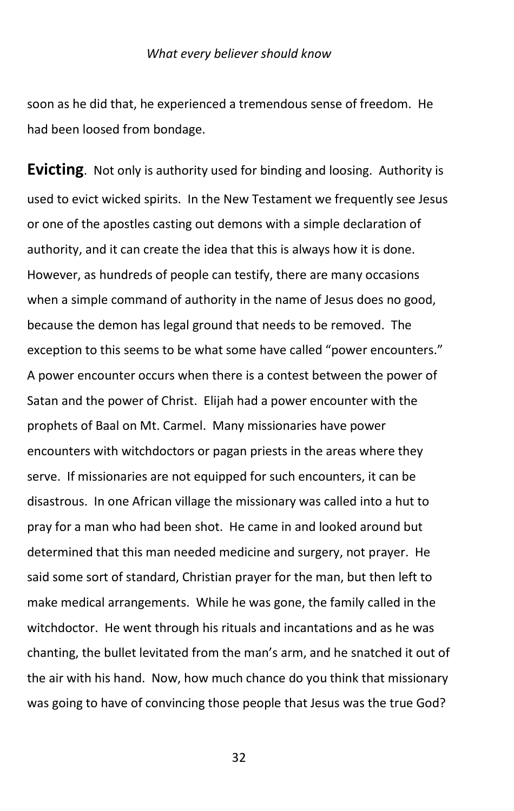soon as he did that, he experienced a tremendous sense of freedom. He had been loosed from bondage.

**Evicting**. Not only is authority used for binding and loosing. Authority is used to evict wicked spirits. In the New Testament we frequently see Jesus or one of the apostles casting out demons with a simple declaration of authority, and it can create the idea that this is always how it is done. However, as hundreds of people can testify, there are many occasions when a simple command of authority in the name of Jesus does no good, because the demon has legal ground that needs to be removed. The exception to this seems to be what some have called "power encounters." A power encounter occurs when there is a contest between the power of Satan and the power of Christ. Elijah had a power encounter with the prophets of Baal on Mt. Carmel. Many missionaries have power encounters with witchdoctors or pagan priests in the areas where they serve. If missionaries are not equipped for such encounters, it can be disastrous. In one African village the missionary was called into a hut to pray for a man who had been shot. He came in and looked around but determined that this man needed medicine and surgery, not prayer. He said some sort of standard, Christian prayer for the man, but then left to make medical arrangements. While he was gone, the family called in the witchdoctor. He went through his rituals and incantations and as he was chanting, the bullet levitated from the man's arm, and he snatched it out of the air with his hand. Now, how much chance do you think that missionary was going to have of convincing those people that Jesus was the true God?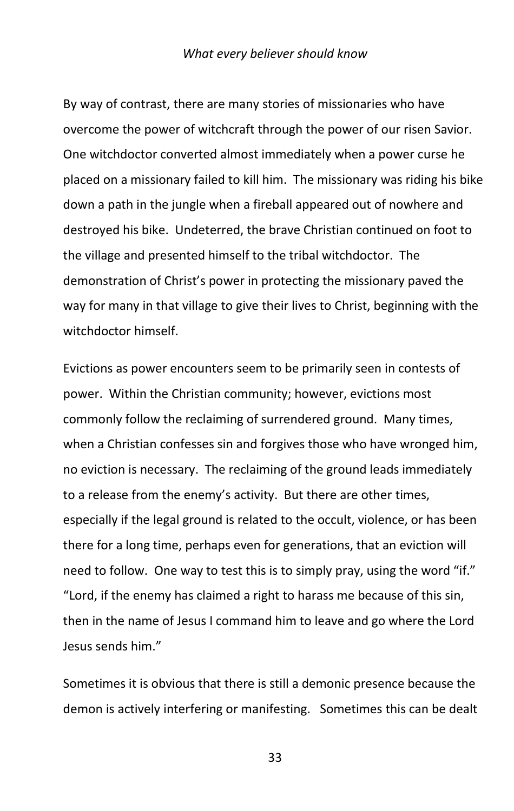By way of contrast, there are many stories of missionaries who have overcome the power of witchcraft through the power of our risen Savior. One witchdoctor converted almost immediately when a power curse he placed on a missionary failed to kill him. The missionary was riding his bike down a path in the jungle when a fireball appeared out of nowhere and destroyed his bike. Undeterred, the brave Christian continued on foot to the village and presented himself to the tribal witchdoctor. The demonstration of Christ's power in protecting the missionary paved the way for many in that village to give their lives to Christ, beginning with the witchdoctor himself.

Evictions as power encounters seem to be primarily seen in contests of power. Within the Christian community; however, evictions most commonly follow the reclaiming of surrendered ground. Many times, when a Christian confesses sin and forgives those who have wronged him, no eviction is necessary. The reclaiming of the ground leads immediately to a release from the enemy's activity. But there are other times, especially if the legal ground is related to the occult, violence, or has been there for a long time, perhaps even for generations, that an eviction will need to follow. One way to test this is to simply pray, using the word "if." "Lord, if the enemy has claimed a right to harass me because of this sin, then in the name of Jesus I command him to leave and go where the Lord Jesus sends him."

Sometimes it is obvious that there is still a demonic presence because the demon is actively interfering or manifesting. Sometimes this can be dealt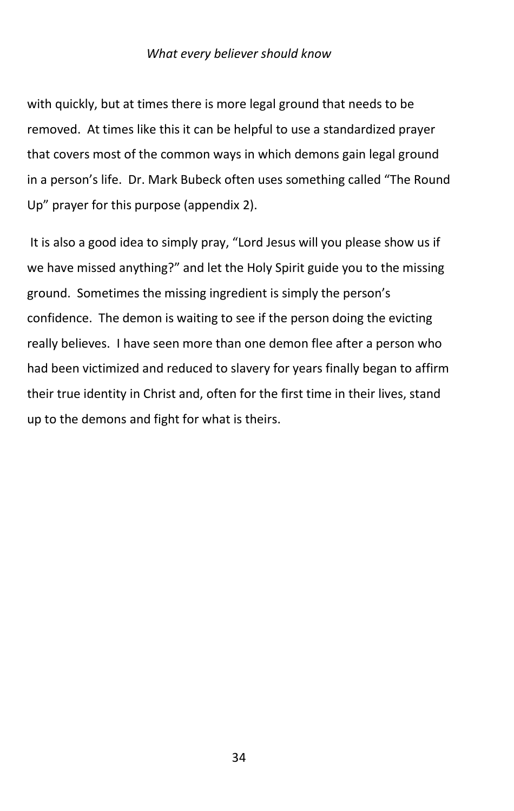with quickly, but at times there is more legal ground that needs to be removed. At times like this it can be helpful to use a standardized prayer that covers most of the common ways in which demons gain legal ground in a person's life. Dr. Mark Bubeck often uses something called "The Round Up" prayer for this purpose (appendix 2).

It is also a good idea to simply pray, "Lord Jesus will you please show us if we have missed anything?" and let the Holy Spirit guide you to the missing ground. Sometimes the missing ingredient is simply the person's confidence. The demon is waiting to see if the person doing the evicting really believes. I have seen more than one demon flee after a person who had been victimized and reduced to slavery for years finally began to affirm their true identity in Christ and, often for the first time in their lives, stand up to the demons and fight for what is theirs.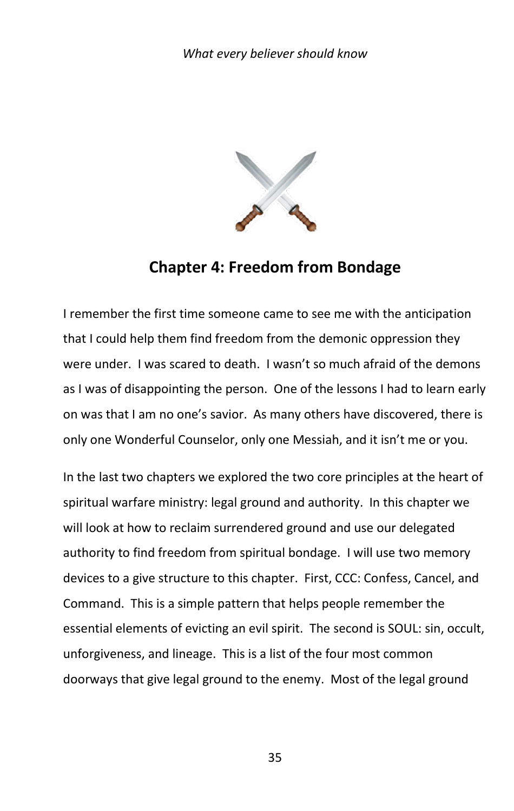

## **Chapter 4: Freedom from Bondage**

I remember the first time someone came to see me with the anticipation that I could help them find freedom from the demonic oppression they were under. I was scared to death. I wasn't so much afraid of the demons as I was of disappointing the person. One of the lessons I had to learn early on was that I am no one's savior. As many others have discovered, there is only one Wonderful Counselor, only one Messiah, and it isn't me or you.

In the last two chapters we explored the two core principles at the heart of spiritual warfare ministry: legal ground and authority. In this chapter we will look at how to reclaim surrendered ground and use our delegated authority to find freedom from spiritual bondage. I will use two memory devices to a give structure to this chapter. First, CCC: Confess, Cancel, and Command. This is a simple pattern that helps people remember the essential elements of evicting an evil spirit. The second is SOUL: sin, occult, unforgiveness, and lineage. This is a list of the four most common doorways that give legal ground to the enemy. Most of the legal ground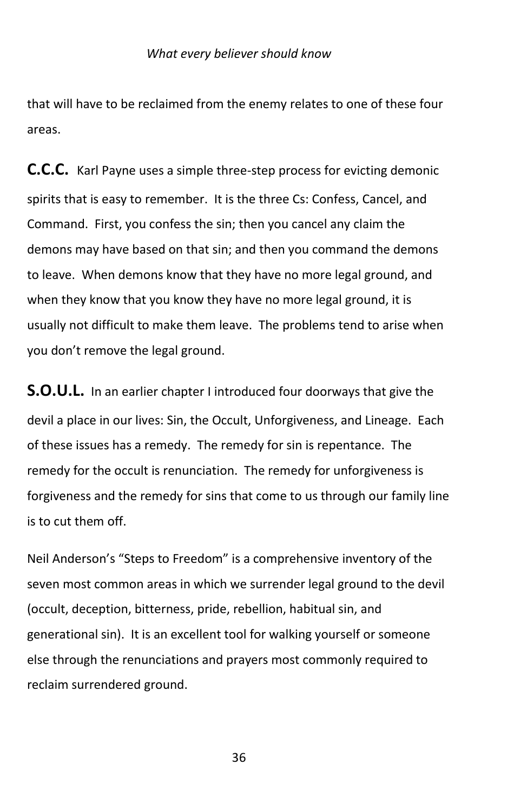that will have to be reclaimed from the enemy relates to one of these four areas.

**C.C.C.** Karl Payne uses a simple three-step process for evicting demonic spirits that is easy to remember. It is the three Cs: Confess, Cancel, and Command. First, you confess the sin; then you cancel any claim the demons may have based on that sin; and then you command the demons to leave. When demons know that they have no more legal ground, and when they know that you know they have no more legal ground, it is usually not difficult to make them leave. The problems tend to arise when you don't remove the legal ground.

**S.O.U.L.** In an earlier chapter I introduced four doorways that give the devil a place in our lives: Sin, the Occult, Unforgiveness, and Lineage. Each of these issues has a remedy. The remedy for sin is repentance. The remedy for the occult is renunciation. The remedy for unforgiveness is forgiveness and the remedy for sins that come to us through our family line is to cut them off.

Neil Anderson's "Steps to Freedom" is a comprehensive inventory of the seven most common areas in which we surrender legal ground to the devil (occult, deception, bitterness, pride, rebellion, habitual sin, and generational sin). It is an excellent tool for walking yourself or someone else through the renunciations and prayers most commonly required to reclaim surrendered ground.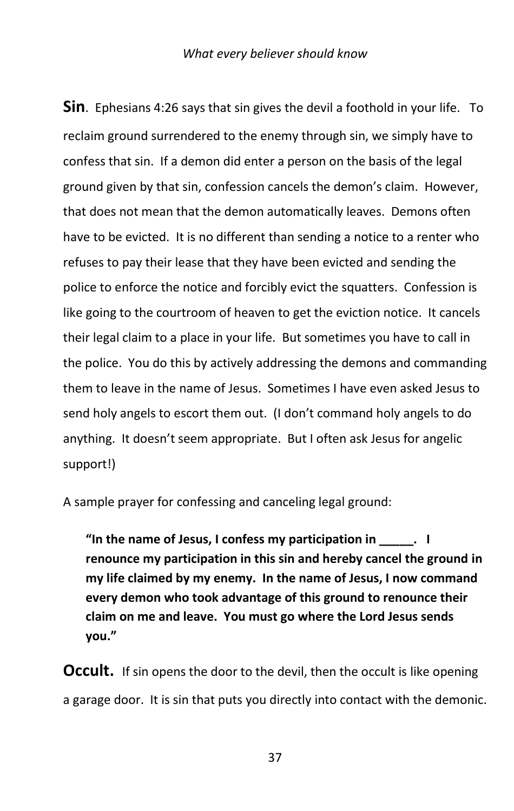**Sin**. Ephesians 4:26 says that sin gives the devil a foothold in your life. To reclaim ground surrendered to the enemy through sin, we simply have to confess that sin. If a demon did enter a person on the basis of the legal ground given by that sin, confession cancels the demon's claim. However, that does not mean that the demon automatically leaves. Demons often have to be evicted. It is no different than sending a notice to a renter who refuses to pay their lease that they have been evicted and sending the police to enforce the notice and forcibly evict the squatters. Confession is like going to the courtroom of heaven to get the eviction notice. It cancels their legal claim to a place in your life. But sometimes you have to call in the police. You do this by actively addressing the demons and commanding them to leave in the name of Jesus. Sometimes I have even asked Jesus to send holy angels to escort them out. (I don't command holy angels to do anything. It doesn't seem appropriate. But I often ask Jesus for angelic support!)

A sample prayer for confessing and canceling legal ground:

**"In the name of Jesus, I confess my participation in \_\_\_\_\_. I renounce my participation in this sin and hereby cancel the ground in my life claimed by my enemy. In the name of Jesus, I now command every demon who took advantage of this ground to renounce their claim on me and leave. You must go where the Lord Jesus sends you."** 

**Occult.** If sin opens the door to the devil, then the occult is like opening a garage door. It is sin that puts you directly into contact with the demonic.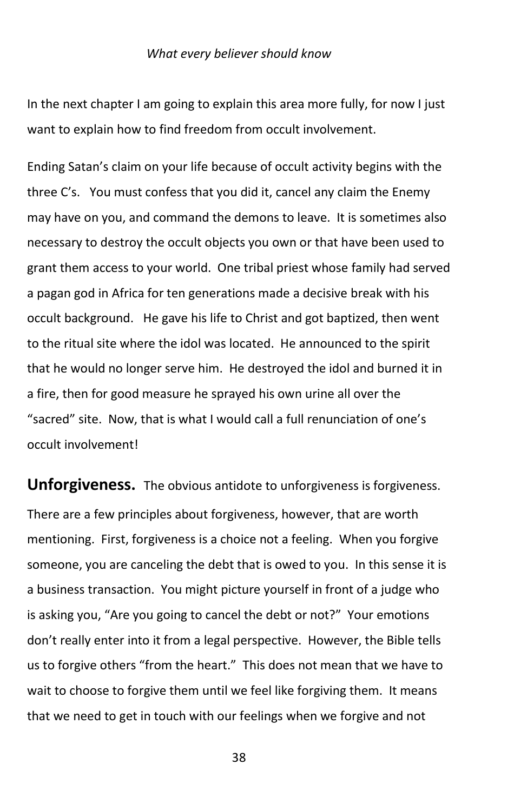In the next chapter I am going to explain this area more fully, for now I just want to explain how to find freedom from occult involvement.

Ending Satan's claim on your life because of occult activity begins with the three C's. You must confess that you did it, cancel any claim the Enemy may have on you, and command the demons to leave. It is sometimes also necessary to destroy the occult objects you own or that have been used to grant them access to your world. One tribal priest whose family had served a pagan god in Africa for ten generations made a decisive break with his occult background. He gave his life to Christ and got baptized, then went to the ritual site where the idol was located. He announced to the spirit that he would no longer serve him. He destroyed the idol and burned it in a fire, then for good measure he sprayed his own urine all over the "sacred" site. Now, that is what I would call a full renunciation of one's occult involvement!

**Unforgiveness.** The obvious antidote to unforgiveness is forgiveness. There are a few principles about forgiveness, however, that are worth mentioning. First, forgiveness is a choice not a feeling. When you forgive someone, you are canceling the debt that is owed to you. In this sense it is a business transaction. You might picture yourself in front of a judge who is asking you, "Are you going to cancel the debt or not?" Your emotions don't really enter into it from a legal perspective. However, the Bible tells us to forgive others "from the heart." This does not mean that we have to wait to choose to forgive them until we feel like forgiving them. It means that we need to get in touch with our feelings when we forgive and not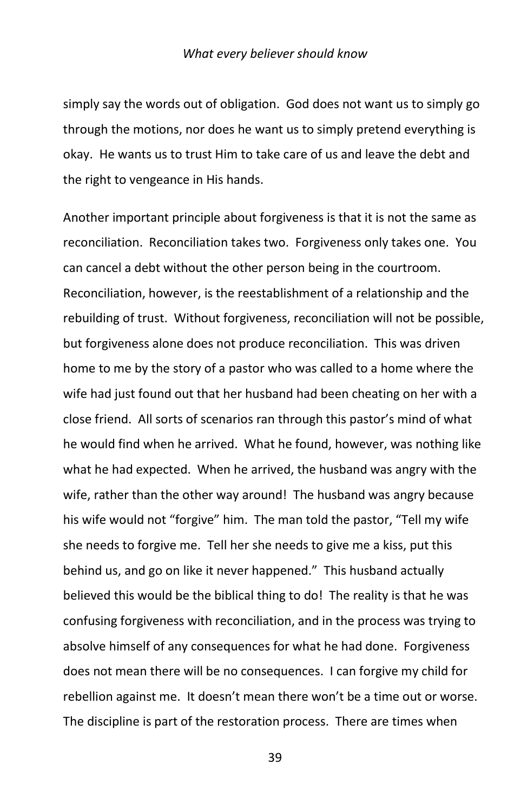simply say the words out of obligation. God does not want us to simply go through the motions, nor does he want us to simply pretend everything is okay. He wants us to trust Him to take care of us and leave the debt and the right to vengeance in His hands.

Another important principle about forgiveness is that it is not the same as reconciliation. Reconciliation takes two. Forgiveness only takes one. You can cancel a debt without the other person being in the courtroom. Reconciliation, however, is the reestablishment of a relationship and the rebuilding of trust. Without forgiveness, reconciliation will not be possible, but forgiveness alone does not produce reconciliation. This was driven home to me by the story of a pastor who was called to a home where the wife had just found out that her husband had been cheating on her with a close friend. All sorts of scenarios ran through this pastor's mind of what he would find when he arrived. What he found, however, was nothing like what he had expected. When he arrived, the husband was angry with the wife, rather than the other way around! The husband was angry because his wife would not "forgive" him. The man told the pastor, "Tell my wife she needs to forgive me. Tell her she needs to give me a kiss, put this behind us, and go on like it never happened." This husband actually believed this would be the biblical thing to do! The reality is that he was confusing forgiveness with reconciliation, and in the process was trying to absolve himself of any consequences for what he had done. Forgiveness does not mean there will be no consequences. I can forgive my child for rebellion against me. It doesn't mean there won't be a time out or worse. The discipline is part of the restoration process. There are times when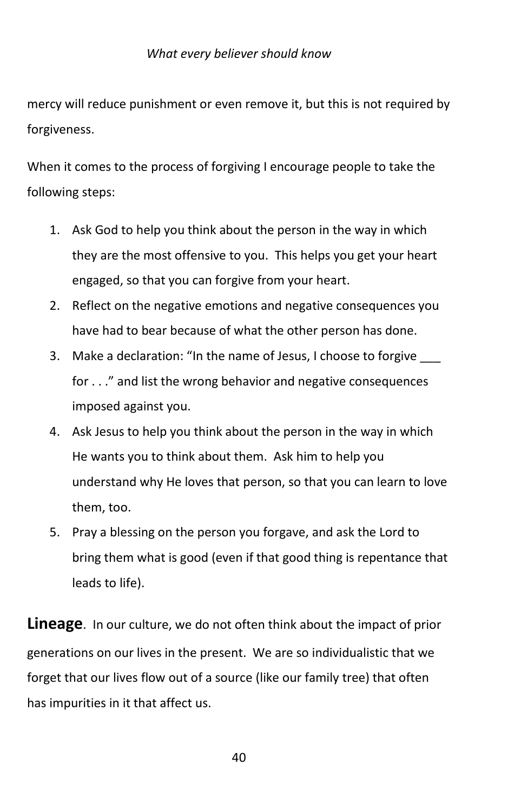mercy will reduce punishment or even remove it, but this is not required by forgiveness.

When it comes to the process of forgiving I encourage people to take the following steps:

- 1. Ask God to help you think about the person in the way in which they are the most offensive to you. This helps you get your heart engaged, so that you can forgive from your heart.
- 2. Reflect on the negative emotions and negative consequences you have had to bear because of what the other person has done.
- 3. Make a declaration: "In the name of Jesus, I choose to forgive for . . ." and list the wrong behavior and negative consequences imposed against you.
- 4. Ask Jesus to help you think about the person in the way in which He wants you to think about them. Ask him to help you understand why He loves that person, so that you can learn to love them, too.
- 5. Pray a blessing on the person you forgave, and ask the Lord to bring them what is good (even if that good thing is repentance that leads to life).

**Lineage**. In our culture, we do not often think about the impact of prior generations on our lives in the present. We are so individualistic that we forget that our lives flow out of a source (like our family tree) that often has impurities in it that affect us.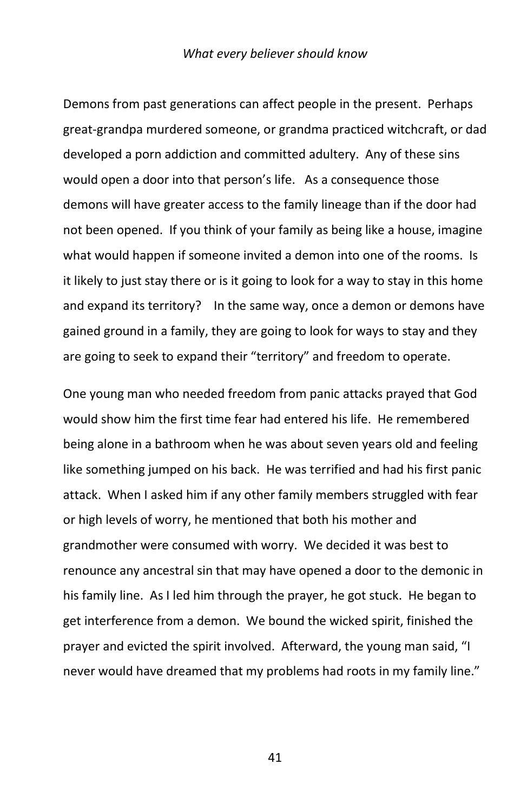Demons from past generations can affect people in the present. Perhaps great-grandpa murdered someone, or grandma practiced witchcraft, or dad developed a porn addiction and committed adultery. Any of these sins would open a door into that person's life. As a consequence those demons will have greater access to the family lineage than if the door had not been opened. If you think of your family as being like a house, imagine what would happen if someone invited a demon into one of the rooms. Is it likely to just stay there or is it going to look for a way to stay in this home and expand its territory? In the same way, once a demon or demons have gained ground in a family, they are going to look for ways to stay and they are going to seek to expand their "territory" and freedom to operate.

One young man who needed freedom from panic attacks prayed that God would show him the first time fear had entered his life. He remembered being alone in a bathroom when he was about seven years old and feeling like something jumped on his back. He was terrified and had his first panic attack. When I asked him if any other family members struggled with fear or high levels of worry, he mentioned that both his mother and grandmother were consumed with worry. We decided it was best to renounce any ancestral sin that may have opened a door to the demonic in his family line. As I led him through the prayer, he got stuck. He began to get interference from a demon. We bound the wicked spirit, finished the prayer and evicted the spirit involved. Afterward, the young man said, "I never would have dreamed that my problems had roots in my family line."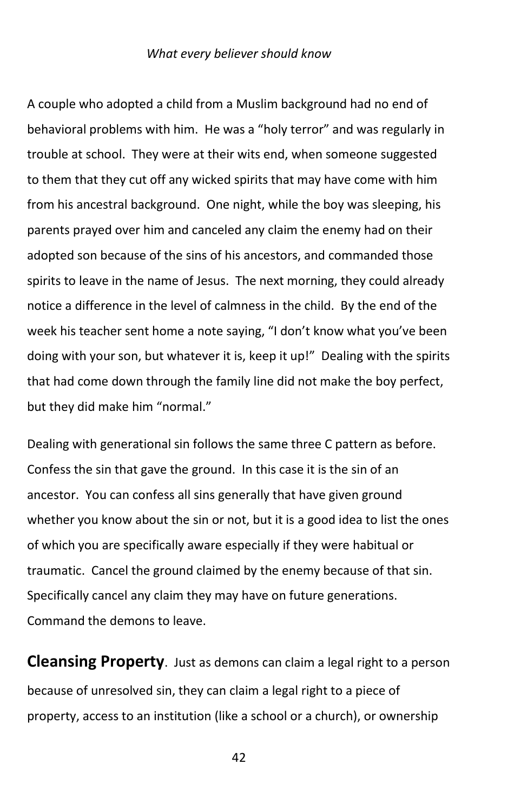A couple who adopted a child from a Muslim background had no end of behavioral problems with him. He was a "holy terror" and was regularly in trouble at school. They were at their wits end, when someone suggested to them that they cut off any wicked spirits that may have come with him from his ancestral background. One night, while the boy was sleeping, his parents prayed over him and canceled any claim the enemy had on their adopted son because of the sins of his ancestors, and commanded those spirits to leave in the name of Jesus. The next morning, they could already notice a difference in the level of calmness in the child. By the end of the week his teacher sent home a note saying, "I don't know what you've been doing with your son, but whatever it is, keep it up!" Dealing with the spirits that had come down through the family line did not make the boy perfect, but they did make him "normal."

Dealing with generational sin follows the same three C pattern as before. Confess the sin that gave the ground. In this case it is the sin of an ancestor. You can confess all sins generally that have given ground whether you know about the sin or not, but it is a good idea to list the ones of which you are specifically aware especially if they were habitual or traumatic. Cancel the ground claimed by the enemy because of that sin. Specifically cancel any claim they may have on future generations. Command the demons to leave.

**Cleansing Property**. Just as demons can claim a legal right to a person because of unresolved sin, they can claim a legal right to a piece of property, access to an institution (like a school or a church), or ownership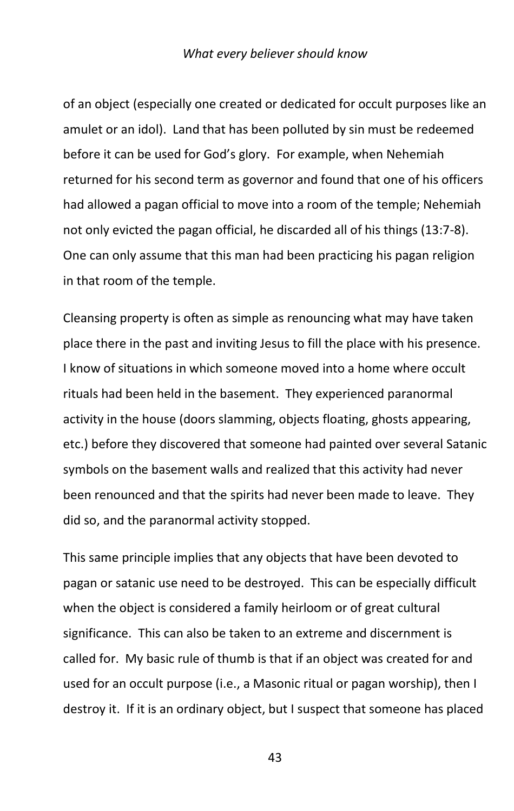of an object (especially one created or dedicated for occult purposes like an amulet or an idol). Land that has been polluted by sin must be redeemed before it can be used for God's glory. For example, when Nehemiah returned for his second term as governor and found that one of his officers had allowed a pagan official to move into a room of the temple; Nehemiah not only evicted the pagan official, he discarded all of his things (13:7-8). One can only assume that this man had been practicing his pagan religion in that room of the temple.

Cleansing property is often as simple as renouncing what may have taken place there in the past and inviting Jesus to fill the place with his presence. I know of situations in which someone moved into a home where occult rituals had been held in the basement. They experienced paranormal activity in the house (doors slamming, objects floating, ghosts appearing, etc.) before they discovered that someone had painted over several Satanic symbols on the basement walls and realized that this activity had never been renounced and that the spirits had never been made to leave. They did so, and the paranormal activity stopped.

This same principle implies that any objects that have been devoted to pagan or satanic use need to be destroyed. This can be especially difficult when the object is considered a family heirloom or of great cultural significance. This can also be taken to an extreme and discernment is called for. My basic rule of thumb is that if an object was created for and used for an occult purpose (i.e., a Masonic ritual or pagan worship), then I destroy it. If it is an ordinary object, but I suspect that someone has placed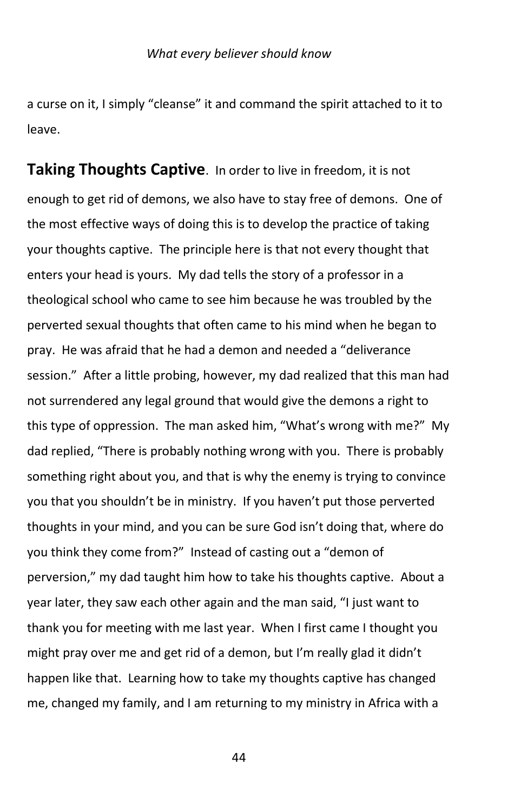a curse on it, I simply "cleanse" it and command the spirit attached to it to leave.

**Taking Thoughts Captive**. In order to live in freedom, it is not enough to get rid of demons, we also have to stay free of demons. One of the most effective ways of doing this is to develop the practice of taking your thoughts captive. The principle here is that not every thought that enters your head is yours. My dad tells the story of a professor in a theological school who came to see him because he was troubled by the perverted sexual thoughts that often came to his mind when he began to pray. He was afraid that he had a demon and needed a "deliverance session." After a little probing, however, my dad realized that this man had not surrendered any legal ground that would give the demons a right to this type of oppression. The man asked him, "What's wrong with me?" My dad replied, "There is probably nothing wrong with you. There is probably something right about you, and that is why the enemy is trying to convince you that you shouldn't be in ministry. If you haven't put those perverted thoughts in your mind, and you can be sure God isn't doing that, where do you think they come from?" Instead of casting out a "demon of perversion," my dad taught him how to take his thoughts captive. About a year later, they saw each other again and the man said, "I just want to thank you for meeting with me last year. When I first came I thought you might pray over me and get rid of a demon, but I'm really glad it didn't happen like that. Learning how to take my thoughts captive has changed me, changed my family, and I am returning to my ministry in Africa with a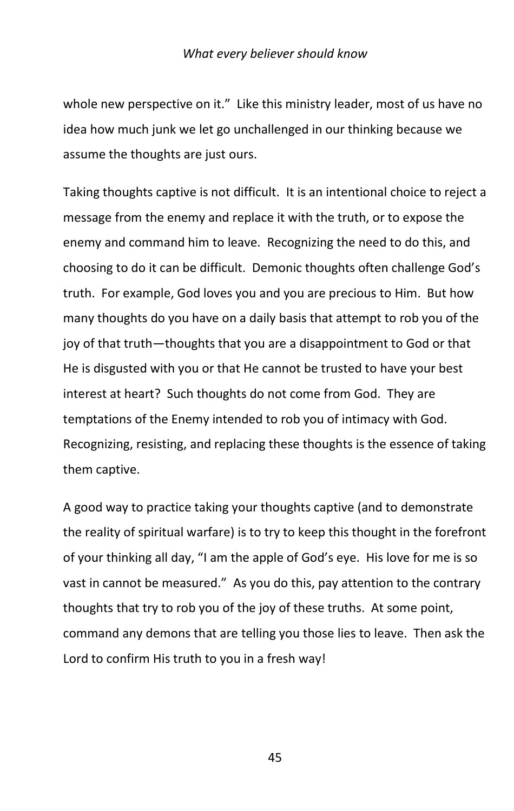whole new perspective on it." Like this ministry leader, most of us have no idea how much junk we let go unchallenged in our thinking because we assume the thoughts are just ours.

Taking thoughts captive is not difficult. It is an intentional choice to reject a message from the enemy and replace it with the truth, or to expose the enemy and command him to leave. Recognizing the need to do this, and choosing to do it can be difficult. Demonic thoughts often challenge God's truth. For example, God loves you and you are precious to Him. But how many thoughts do you have on a daily basis that attempt to rob you of the joy of that truth—thoughts that you are a disappointment to God or that He is disgusted with you or that He cannot be trusted to have your best interest at heart? Such thoughts do not come from God. They are temptations of the Enemy intended to rob you of intimacy with God. Recognizing, resisting, and replacing these thoughts is the essence of taking them captive.

A good way to practice taking your thoughts captive (and to demonstrate the reality of spiritual warfare) is to try to keep this thought in the forefront of your thinking all day, "I am the apple of God's eye. His love for me is so vast in cannot be measured." As you do this, pay attention to the contrary thoughts that try to rob you of the joy of these truths. At some point, command any demons that are telling you those lies to leave. Then ask the Lord to confirm His truth to you in a fresh way!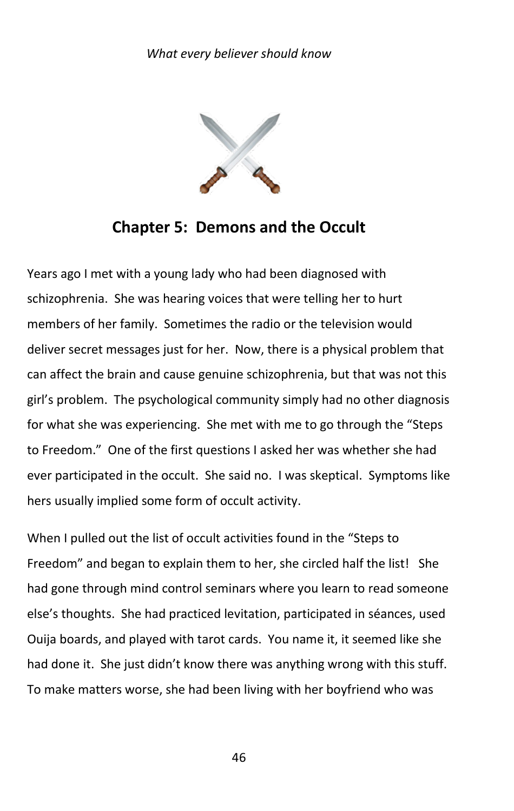

# **Chapter 5: Demons and the Occult**

Years ago I met with a young lady who had been diagnosed with schizophrenia. She was hearing voices that were telling her to hurt members of her family. Sometimes the radio or the television would deliver secret messages just for her. Now, there is a physical problem that can affect the brain and cause genuine schizophrenia, but that was not this girl's problem. The psychological community simply had no other diagnosis for what she was experiencing. She met with me to go through the "Steps to Freedom." One of the first questions I asked her was whether she had ever participated in the occult. She said no. I was skeptical. Symptoms like hers usually implied some form of occult activity.

When I pulled out the list of occult activities found in the "Steps to Freedom" and began to explain them to her, she circled half the list! She had gone through mind control seminars where you learn to read someone else's thoughts. She had practiced levitation, participated in séances, used Ouija boards, and played with tarot cards. You name it, it seemed like she had done it. She just didn't know there was anything wrong with this stuff. To make matters worse, she had been living with her boyfriend who was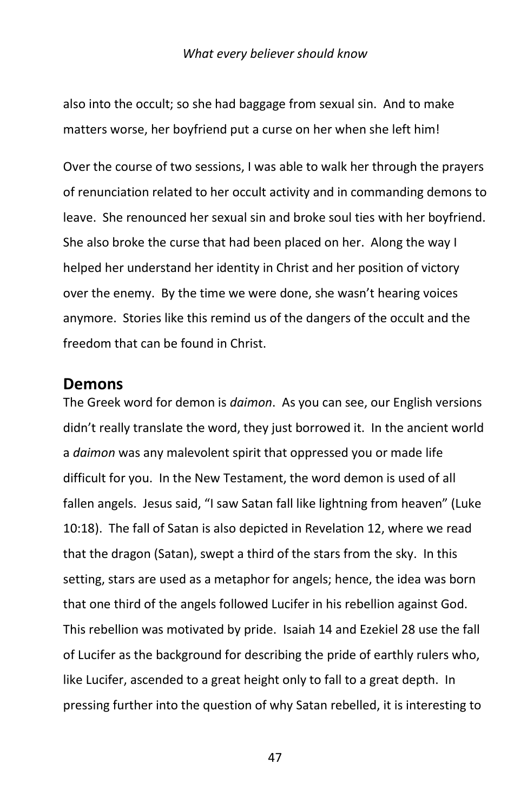also into the occult; so she had baggage from sexual sin. And to make matters worse, her boyfriend put a curse on her when she left him!

Over the course of two sessions, I was able to walk her through the prayers of renunciation related to her occult activity and in commanding demons to leave. She renounced her sexual sin and broke soul ties with her boyfriend. She also broke the curse that had been placed on her. Along the way I helped her understand her identity in Christ and her position of victory over the enemy. By the time we were done, she wasn't hearing voices anymore. Stories like this remind us of the dangers of the occult and the freedom that can be found in Christ.

# **Demons**

The Greek word for demon is *daimon*. As you can see, our English versions didn't really translate the word, they just borrowed it. In the ancient world a *daimon* was any malevolent spirit that oppressed you or made life difficult for you. In the New Testament, the word demon is used of all fallen angels. Jesus said, "I saw Satan fall like lightning from heaven" (Luke 10:18). The fall of Satan is also depicted in Revelation 12, where we read that the dragon (Satan), swept a third of the stars from the sky. In this setting, stars are used as a metaphor for angels; hence, the idea was born that one third of the angels followed Lucifer in his rebellion against God. This rebellion was motivated by pride. Isaiah 14 and Ezekiel 28 use the fall of Lucifer as the background for describing the pride of earthly rulers who, like Lucifer, ascended to a great height only to fall to a great depth. In pressing further into the question of why Satan rebelled, it is interesting to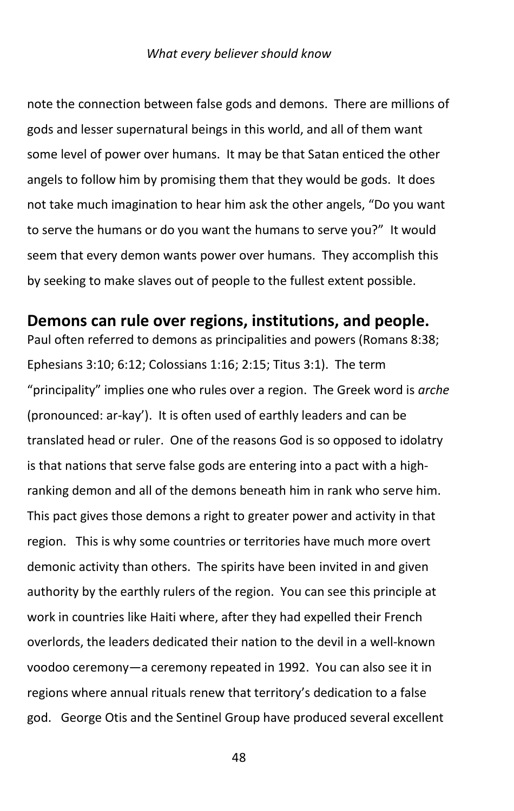note the connection between false gods and demons. There are millions of gods and lesser supernatural beings in this world, and all of them want some level of power over humans. It may be that Satan enticed the other angels to follow him by promising them that they would be gods. It does not take much imagination to hear him ask the other angels, "Do you want to serve the humans or do you want the humans to serve you?" It would seem that every demon wants power over humans. They accomplish this by seeking to make slaves out of people to the fullest extent possible.

**Demons can rule over regions, institutions, and people.** Paul often referred to demons as principalities and powers (Romans 8:38; Ephesians 3:10; 6:12; Colossians 1:16; 2:15; Titus 3:1). The term "principality" implies one who rules over a region. The Greek word is *arche* (pronounced: ar-kay'). It is often used of earthly leaders and can be translated head or ruler. One of the reasons God is so opposed to idolatry is that nations that serve false gods are entering into a pact with a highranking demon and all of the demons beneath him in rank who serve him. This pact gives those demons a right to greater power and activity in that region. This is why some countries or territories have much more overt demonic activity than others. The spirits have been invited in and given authority by the earthly rulers of the region. You can see this principle at work in countries like Haiti where, after they had expelled their French overlords, the leaders dedicated their nation to the devil in a well-known voodoo ceremony—a ceremony repeated in 1992. You can also see it in regions where annual rituals renew that territory's dedication to a false god. George Otis and the Sentinel Group have produced several excellent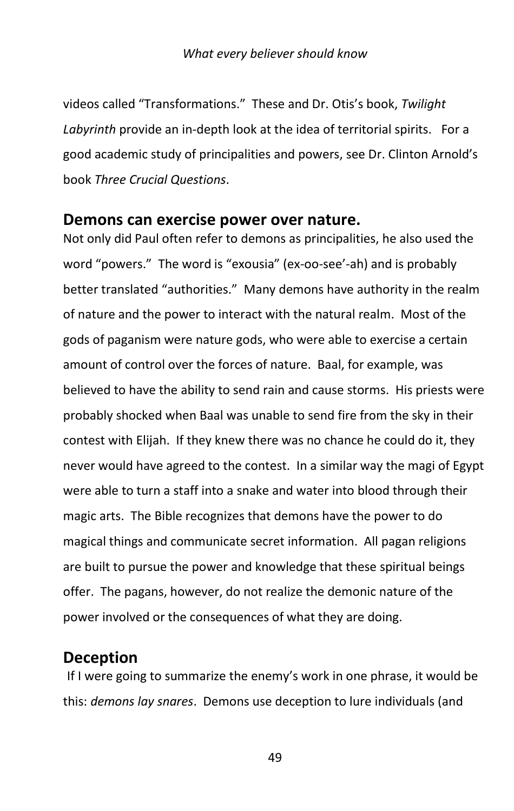videos called "Transformations." These and Dr. Otis's book, *Twilight Labyrinth* provide an in-depth look at the idea of territorial spirits. For a good academic study of principalities and powers, see Dr. Clinton Arnold's book *Three Crucial Questions*.

# **Demons can exercise power over nature.**

Not only did Paul often refer to demons as principalities, he also used the word "powers." The word is "exousia" (ex-oo-see'-ah) and is probably better translated "authorities." Many demons have authority in the realm of nature and the power to interact with the natural realm. Most of the gods of paganism were nature gods, who were able to exercise a certain amount of control over the forces of nature. Baal, for example, was believed to have the ability to send rain and cause storms. His priests were probably shocked when Baal was unable to send fire from the sky in their contest with Elijah. If they knew there was no chance he could do it, they never would have agreed to the contest. In a similar way the magi of Egypt were able to turn a staff into a snake and water into blood through their magic arts. The Bible recognizes that demons have the power to do magical things and communicate secret information. All pagan religions are built to pursue the power and knowledge that these spiritual beings offer. The pagans, however, do not realize the demonic nature of the power involved or the consequences of what they are doing.

# **Deception**

If I were going to summarize the enemy's work in one phrase, it would be this: *demons lay snares*. Demons use deception to lure individuals (and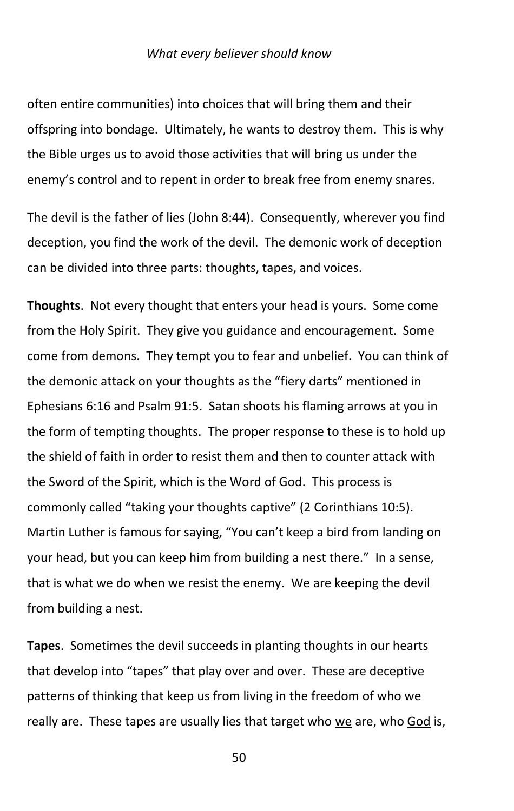often entire communities) into choices that will bring them and their offspring into bondage. Ultimately, he wants to destroy them. This is why the Bible urges us to avoid those activities that will bring us under the enemy's control and to repent in order to break free from enemy snares.

The devil is the father of lies (John 8:44). Consequently, wherever you find deception, you find the work of the devil. The demonic work of deception can be divided into three parts: thoughts, tapes, and voices.

**Thoughts**. Not every thought that enters your head is yours. Some come from the Holy Spirit. They give you guidance and encouragement. Some come from demons. They tempt you to fear and unbelief. You can think of the demonic attack on your thoughts as the "fiery darts" mentioned in Ephesians 6:16 and Psalm 91:5. Satan shoots his flaming arrows at you in the form of tempting thoughts. The proper response to these is to hold up the shield of faith in order to resist them and then to counter attack with the Sword of the Spirit, which is the Word of God. This process is commonly called "taking your thoughts captive" (2 Corinthians 10:5). Martin Luther is famous for saying, "You can't keep a bird from landing on your head, but you can keep him from building a nest there." In a sense, that is what we do when we resist the enemy. We are keeping the devil from building a nest.

**Tapes**. Sometimes the devil succeeds in planting thoughts in our hearts that develop into "tapes" that play over and over. These are deceptive patterns of thinking that keep us from living in the freedom of who we really are. These tapes are usually lies that target who we are, who God is,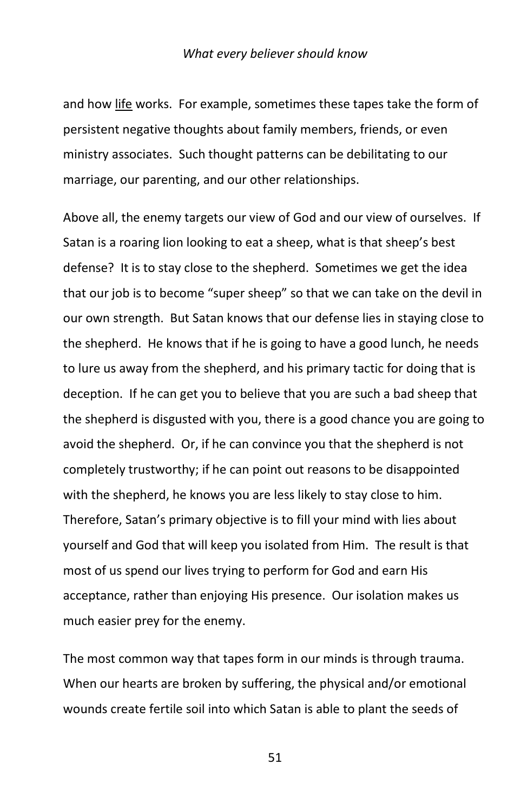and how life works. For example, sometimes these tapes take the form of persistent negative thoughts about family members, friends, or even ministry associates. Such thought patterns can be debilitating to our marriage, our parenting, and our other relationships.

Above all, the enemy targets our view of God and our view of ourselves. If Satan is a roaring lion looking to eat a sheep, what is that sheep's best defense? It is to stay close to the shepherd. Sometimes we get the idea that our job is to become "super sheep" so that we can take on the devil in our own strength. But Satan knows that our defense lies in staying close to the shepherd. He knows that if he is going to have a good lunch, he needs to lure us away from the shepherd, and his primary tactic for doing that is deception. If he can get you to believe that you are such a bad sheep that the shepherd is disgusted with you, there is a good chance you are going to avoid the shepherd. Or, if he can convince you that the shepherd is not completely trustworthy; if he can point out reasons to be disappointed with the shepherd, he knows you are less likely to stay close to him. Therefore, Satan's primary objective is to fill your mind with lies about yourself and God that will keep you isolated from Him. The result is that most of us spend our lives trying to perform for God and earn His acceptance, rather than enjoying His presence. Our isolation makes us much easier prey for the enemy.

The most common way that tapes form in our minds is through trauma. When our hearts are broken by suffering, the physical and/or emotional wounds create fertile soil into which Satan is able to plant the seeds of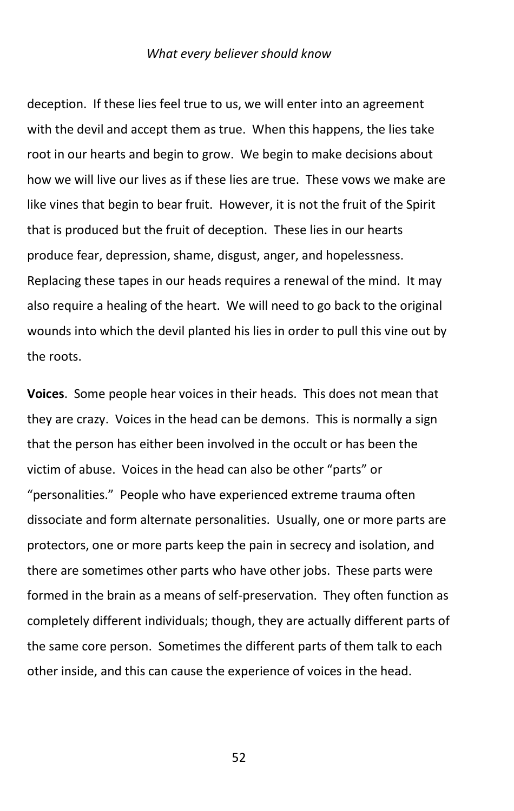deception. If these lies feel true to us, we will enter into an agreement with the devil and accept them as true. When this happens, the lies take root in our hearts and begin to grow. We begin to make decisions about how we will live our lives as if these lies are true. These vows we make are like vines that begin to bear fruit. However, it is not the fruit of the Spirit that is produced but the fruit of deception. These lies in our hearts produce fear, depression, shame, disgust, anger, and hopelessness. Replacing these tapes in our heads requires a renewal of the mind. It may also require a healing of the heart. We will need to go back to the original wounds into which the devil planted his lies in order to pull this vine out by the roots.

**Voices**. Some people hear voices in their heads. This does not mean that they are crazy. Voices in the head can be demons. This is normally a sign that the person has either been involved in the occult or has been the victim of abuse. Voices in the head can also be other "parts" or "personalities." People who have experienced extreme trauma often dissociate and form alternate personalities. Usually, one or more parts are protectors, one or more parts keep the pain in secrecy and isolation, and there are sometimes other parts who have other jobs. These parts were formed in the brain as a means of self-preservation. They often function as completely different individuals; though, they are actually different parts of the same core person. Sometimes the different parts of them talk to each other inside, and this can cause the experience of voices in the head.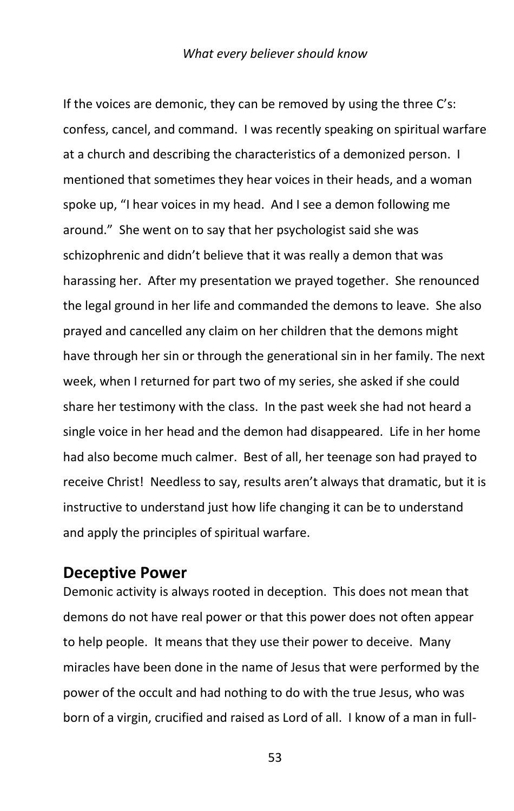If the voices are demonic, they can be removed by using the three C's: confess, cancel, and command. I was recently speaking on spiritual warfare at a church and describing the characteristics of a demonized person. I mentioned that sometimes they hear voices in their heads, and a woman spoke up, "I hear voices in my head. And I see a demon following me around." She went on to say that her psychologist said she was schizophrenic and didn't believe that it was really a demon that was harassing her. After my presentation we prayed together. She renounced the legal ground in her life and commanded the demons to leave. She also prayed and cancelled any claim on her children that the demons might have through her sin or through the generational sin in her family. The next week, when I returned for part two of my series, she asked if she could share her testimony with the class. In the past week she had not heard a single voice in her head and the demon had disappeared. Life in her home had also become much calmer. Best of all, her teenage son had prayed to receive Christ! Needless to say, results aren't always that dramatic, but it is instructive to understand just how life changing it can be to understand and apply the principles of spiritual warfare.

## **Deceptive Power**

Demonic activity is always rooted in deception. This does not mean that demons do not have real power or that this power does not often appear to help people. It means that they use their power to deceive. Many miracles have been done in the name of Jesus that were performed by the power of the occult and had nothing to do with the true Jesus, who was born of a virgin, crucified and raised as Lord of all. I know of a man in full-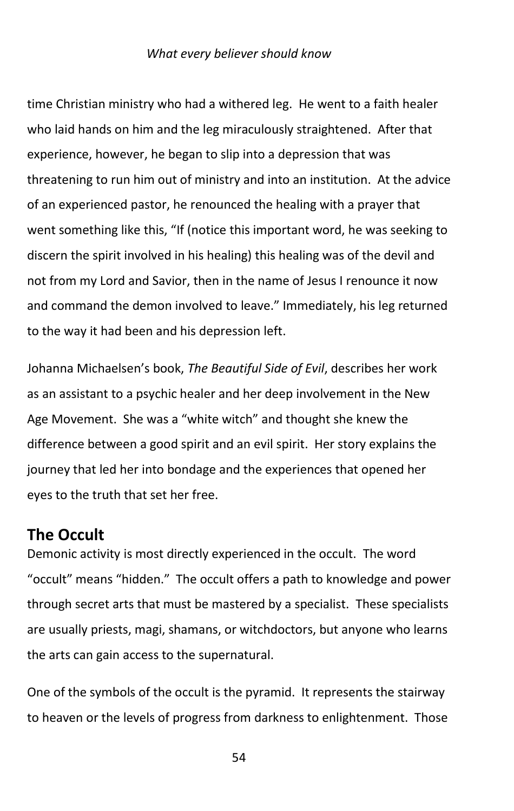time Christian ministry who had a withered leg. He went to a faith healer who laid hands on him and the leg miraculously straightened. After that experience, however, he began to slip into a depression that was threatening to run him out of ministry and into an institution. At the advice of an experienced pastor, he renounced the healing with a prayer that went something like this, "If (notice this important word, he was seeking to discern the spirit involved in his healing) this healing was of the devil and not from my Lord and Savior, then in the name of Jesus I renounce it now and command the demon involved to leave." Immediately, his leg returned to the way it had been and his depression left.

Johanna Michaelsen's book, *The Beautiful Side of Evil*, describes her work as an assistant to a psychic healer and her deep involvement in the New Age Movement. She was a "white witch" and thought she knew the difference between a good spirit and an evil spirit. Her story explains the journey that led her into bondage and the experiences that opened her eyes to the truth that set her free.

# **The Occult**

Demonic activity is most directly experienced in the occult. The word "occult" means "hidden." The occult offers a path to knowledge and power through secret arts that must be mastered by a specialist. These specialists are usually priests, magi, shamans, or witchdoctors, but anyone who learns the arts can gain access to the supernatural.

One of the symbols of the occult is the pyramid. It represents the stairway to heaven or the levels of progress from darkness to enlightenment. Those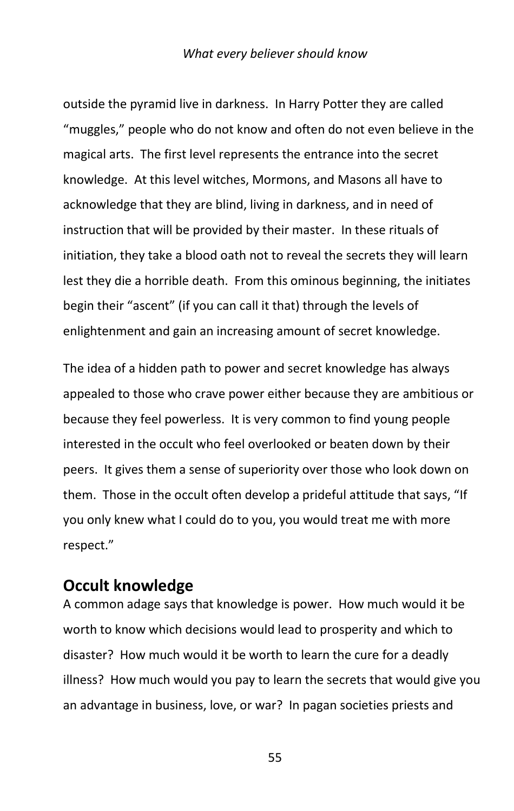outside the pyramid live in darkness. In Harry Potter they are called "muggles," people who do not know and often do not even believe in the magical arts. The first level represents the entrance into the secret knowledge. At this level witches, Mormons, and Masons all have to acknowledge that they are blind, living in darkness, and in need of instruction that will be provided by their master. In these rituals of initiation, they take a blood oath not to reveal the secrets they will learn lest they die a horrible death. From this ominous beginning, the initiates begin their "ascent" (if you can call it that) through the levels of enlightenment and gain an increasing amount of secret knowledge.

The idea of a hidden path to power and secret knowledge has always appealed to those who crave power either because they are ambitious or because they feel powerless. It is very common to find young people interested in the occult who feel overlooked or beaten down by their peers. It gives them a sense of superiority over those who look down on them. Those in the occult often develop a prideful attitude that says, "If you only knew what I could do to you, you would treat me with more respect."

# **Occult knowledge**

A common adage says that knowledge is power. How much would it be worth to know which decisions would lead to prosperity and which to disaster? How much would it be worth to learn the cure for a deadly illness? How much would you pay to learn the secrets that would give you an advantage in business, love, or war? In pagan societies priests and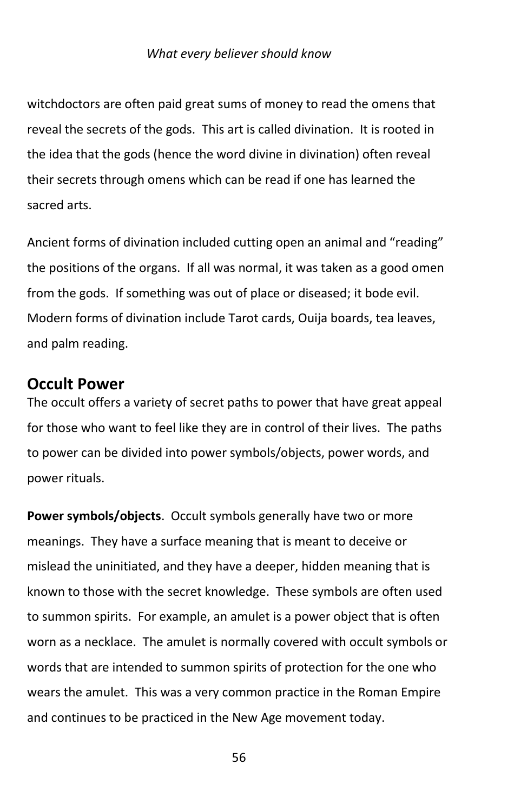witchdoctors are often paid great sums of money to read the omens that reveal the secrets of the gods. This art is called divination. It is rooted in the idea that the gods (hence the word divine in divination) often reveal their secrets through omens which can be read if one has learned the sacred arts.

Ancient forms of divination included cutting open an animal and "reading" the positions of the organs. If all was normal, it was taken as a good omen from the gods. If something was out of place or diseased; it bode evil. Modern forms of divination include Tarot cards, Ouija boards, tea leaves, and palm reading.

## **Occult Power**

The occult offers a variety of secret paths to power that have great appeal for those who want to feel like they are in control of their lives. The paths to power can be divided into power symbols/objects, power words, and power rituals.

**Power symbols/objects**. Occult symbols generally have two or more meanings. They have a surface meaning that is meant to deceive or mislead the uninitiated, and they have a deeper, hidden meaning that is known to those with the secret knowledge. These symbols are often used to summon spirits. For example, an amulet is a power object that is often worn as a necklace. The amulet is normally covered with occult symbols or words that are intended to summon spirits of protection for the one who wears the amulet. This was a very common practice in the Roman Empire and continues to be practiced in the New Age movement today.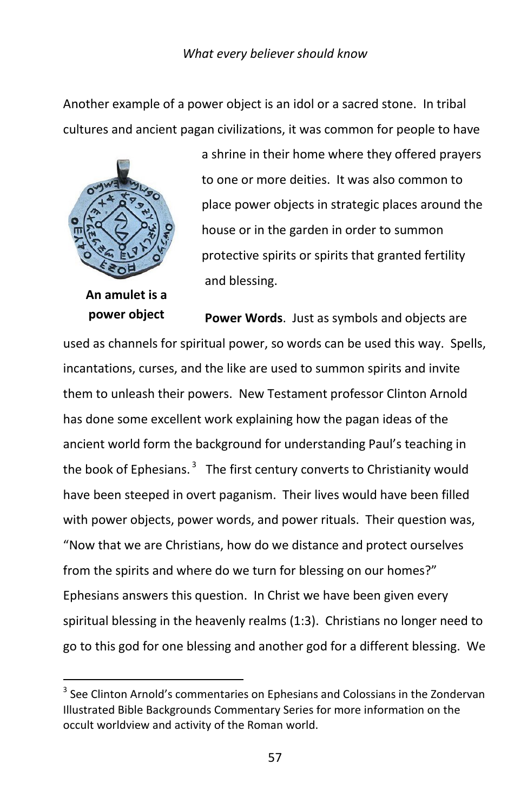Another example of a power object is an idol or a sacred stone. In tribal cultures and ancient pagan civilizations, it was common for people to have



a shrine in their home where they offered prayers to one or more deities. It was also common to place power objects in strategic places around the house or in the garden in order to summon protective spirits or spirits that granted fertility and blessing.

**An amulet is a power object** 

 $\overline{a}$ 

**Power Words**. Just as symbols and objects are used as channels for spiritual power, so words can be used this way. Spells, incantations, curses, and the like are used to summon spirits and invite them to unleash their powers. New Testament professor Clinton Arnold has done some excellent work explaining how the pagan ideas of the ancient world form the background for understanding Paul's teaching in the book of Ephesians.<sup>3</sup> The first century converts to Christianity would have been steeped in overt paganism. Their lives would have been filled with power objects, power words, and power rituals. Their question was, "Now that we are Christians, how do we distance and protect ourselves from the spirits and where do we turn for blessing on our homes?" Ephesians answers this question. In Christ we have been given every spiritual blessing in the heavenly realms (1:3). Christians no longer need to go to this god for one blessing and another god for a different blessing. We

 $3$  See Clinton Arnold's commentaries on Ephesians and Colossians in the Zondervan Illustrated Bible Backgrounds Commentary Series for more information on the occult worldview and activity of the Roman world.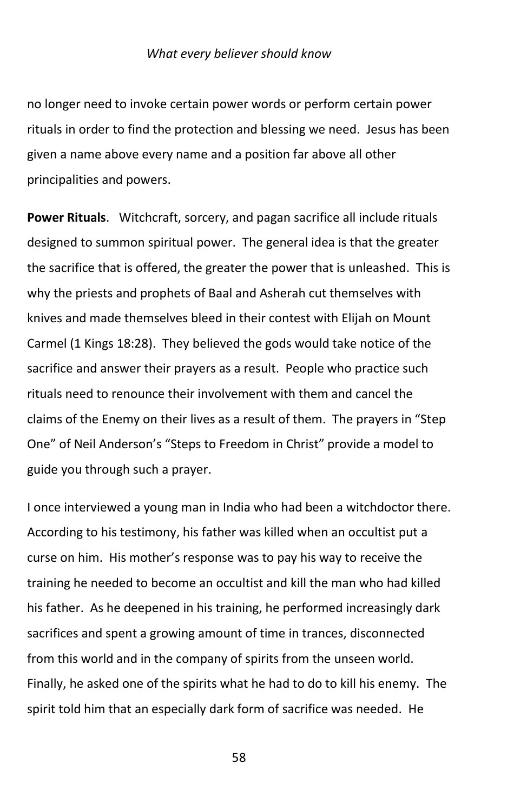no longer need to invoke certain power words or perform certain power rituals in order to find the protection and blessing we need. Jesus has been given a name above every name and a position far above all other principalities and powers.

**Power Rituals**. Witchcraft, sorcery, and pagan sacrifice all include rituals designed to summon spiritual power. The general idea is that the greater the sacrifice that is offered, the greater the power that is unleashed. This is why the priests and prophets of Baal and Asherah cut themselves with knives and made themselves bleed in their contest with Elijah on Mount Carmel (1 Kings 18:28). They believed the gods would take notice of the sacrifice and answer their prayers as a result. People who practice such rituals need to renounce their involvement with them and cancel the claims of the Enemy on their lives as a result of them. The prayers in "Step One" of Neil Anderson's "Steps to Freedom in Christ" provide a model to guide you through such a prayer.

I once interviewed a young man in India who had been a witchdoctor there. According to his testimony, his father was killed when an occultist put a curse on him. His mother's response was to pay his way to receive the training he needed to become an occultist and kill the man who had killed his father. As he deepened in his training, he performed increasingly dark sacrifices and spent a growing amount of time in trances, disconnected from this world and in the company of spirits from the unseen world. Finally, he asked one of the spirits what he had to do to kill his enemy. The spirit told him that an especially dark form of sacrifice was needed. He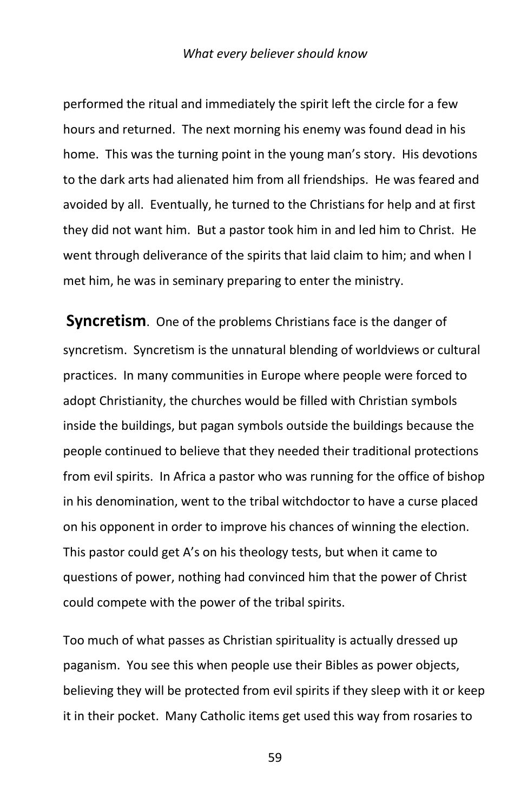performed the ritual and immediately the spirit left the circle for a few hours and returned. The next morning his enemy was found dead in his home. This was the turning point in the young man's story. His devotions to the dark arts had alienated him from all friendships. He was feared and avoided by all. Eventually, he turned to the Christians for help and at first they did not want him. But a pastor took him in and led him to Christ. He went through deliverance of the spirits that laid claim to him; and when I met him, he was in seminary preparing to enter the ministry.

**Syncretism**. One of the problems Christians face is the danger of syncretism. Syncretism is the unnatural blending of worldviews or cultural practices. In many communities in Europe where people were forced to adopt Christianity, the churches would be filled with Christian symbols inside the buildings, but pagan symbols outside the buildings because the people continued to believe that they needed their traditional protections from evil spirits. In Africa a pastor who was running for the office of bishop in his denomination, went to the tribal witchdoctor to have a curse placed on his opponent in order to improve his chances of winning the election. This pastor could get A's on his theology tests, but when it came to questions of power, nothing had convinced him that the power of Christ could compete with the power of the tribal spirits.

Too much of what passes as Christian spirituality is actually dressed up paganism. You see this when people use their Bibles as power objects, believing they will be protected from evil spirits if they sleep with it or keep it in their pocket. Many Catholic items get used this way from rosaries to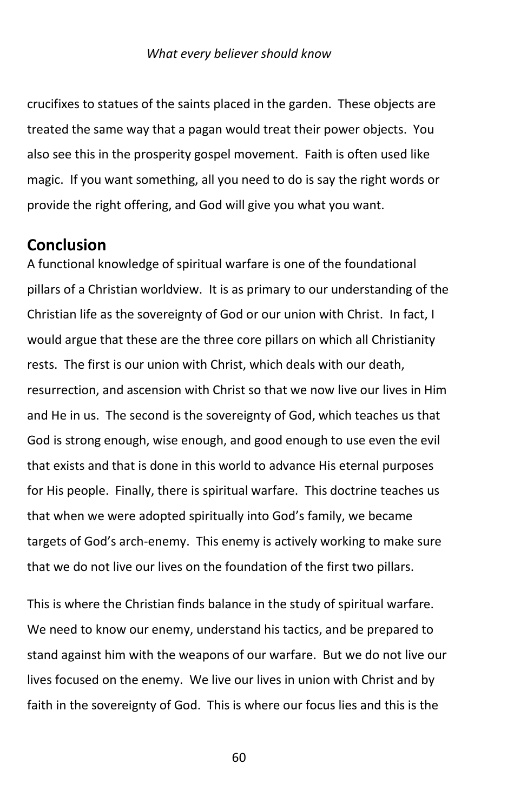crucifixes to statues of the saints placed in the garden. These objects are treated the same way that a pagan would treat their power objects. You also see this in the prosperity gospel movement. Faith is often used like magic. If you want something, all you need to do is say the right words or provide the right offering, and God will give you what you want.

## **Conclusion**

A functional knowledge of spiritual warfare is one of the foundational pillars of a Christian worldview. It is as primary to our understanding of the Christian life as the sovereignty of God or our union with Christ. In fact, I would argue that these are the three core pillars on which all Christianity rests. The first is our union with Christ, which deals with our death, resurrection, and ascension with Christ so that we now live our lives in Him and He in us. The second is the sovereignty of God, which teaches us that God is strong enough, wise enough, and good enough to use even the evil that exists and that is done in this world to advance His eternal purposes for His people. Finally, there is spiritual warfare. This doctrine teaches us that when we were adopted spiritually into God's family, we became targets of God's arch-enemy. This enemy is actively working to make sure that we do not live our lives on the foundation of the first two pillars.

This is where the Christian finds balance in the study of spiritual warfare. We need to know our enemy, understand his tactics, and be prepared to stand against him with the weapons of our warfare. But we do not live our lives focused on the enemy. We live our lives in union with Christ and by faith in the sovereignty of God. This is where our focus lies and this is the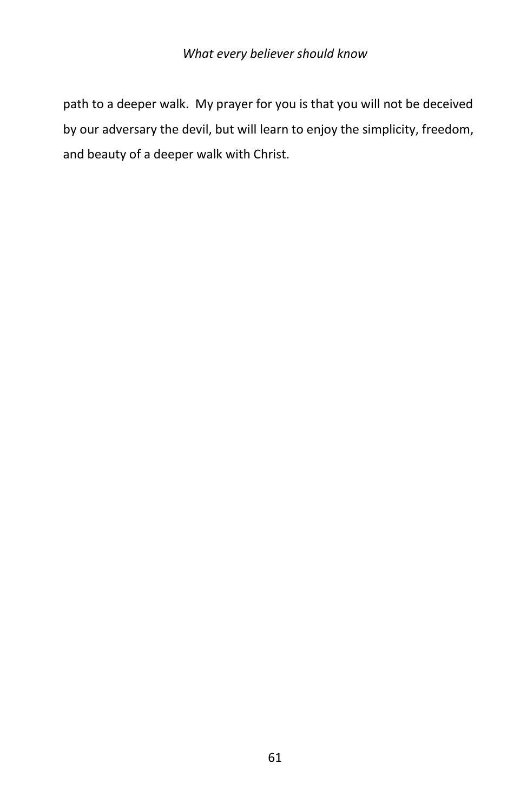path to a deeper walk. My prayer for you is that you will not be deceived by our adversary the devil, but will learn to enjoy the simplicity, freedom, and beauty of a deeper walk with Christ.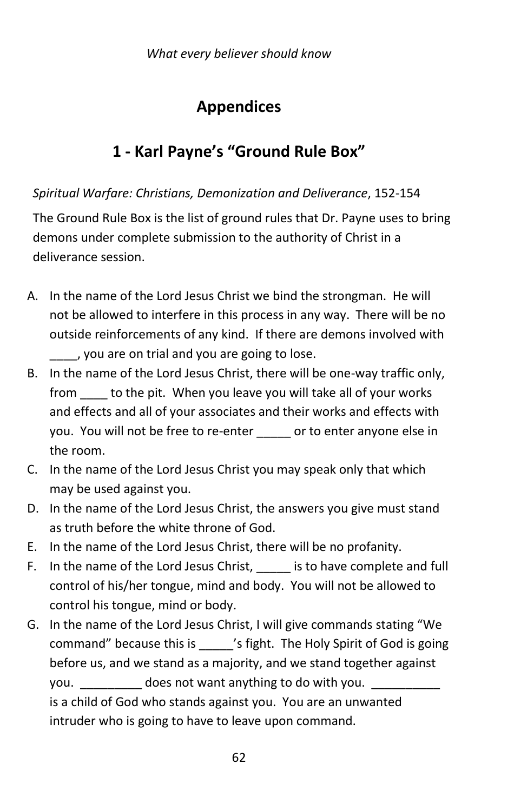# **Appendices**

# **1 - Karl Payne's "Ground Rule Box"**

*Spiritual Warfare: Christians, Demonization and Deliverance*, 152-154

The Ground Rule Box is the list of ground rules that Dr. Payne uses to bring demons under complete submission to the authority of Christ in a deliverance session.

- A. In the name of the Lord Jesus Christ we bind the strongman. He will not be allowed to interfere in this process in any way. There will be no outside reinforcements of any kind. If there are demons involved with \_\_\_\_, you are on trial and you are going to lose.
- B. In the name of the Lord Jesus Christ, there will be one-way traffic only, from to the pit. When you leave you will take all of your works and effects and all of your associates and their works and effects with you. You will not be free to re-enter \_\_\_\_\_ or to enter anyone else in the room.
- C. In the name of the Lord Jesus Christ you may speak only that which may be used against you.
- D. In the name of the Lord Jesus Christ, the answers you give must stand as truth before the white throne of God.
- E. In the name of the Lord Jesus Christ, there will be no profanity.
- F. In the name of the Lord Jesus Christ, \_\_\_\_\_ is to have complete and full control of his/her tongue, mind and body. You will not be allowed to control his tongue, mind or body.
- G. In the name of the Lord Jesus Christ, I will give commands stating "We command" because this is \_\_\_\_\_'s fight. The Holy Spirit of God is going before us, and we stand as a majority, and we stand together against you. example of the shot want anything to do with you. is a child of God who stands against you. You are an unwanted intruder who is going to have to leave upon command.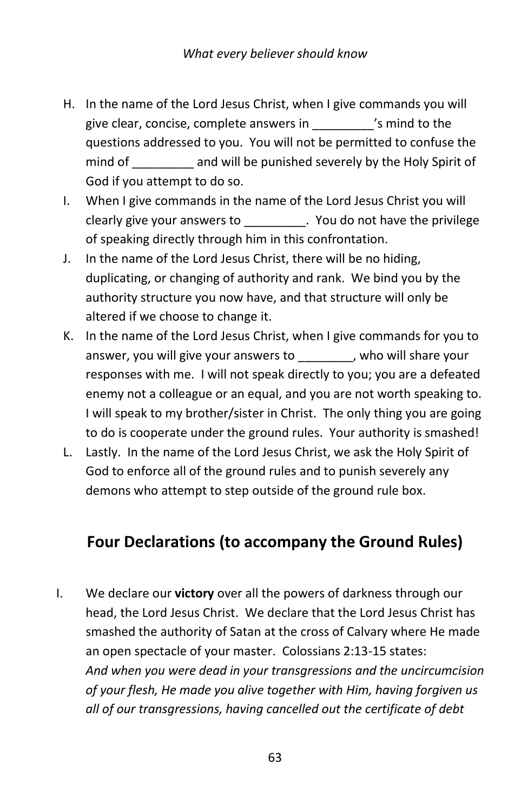- H. In the name of the Lord Jesus Christ, when I give commands you will give clear, concise, complete answers in \_\_\_\_\_\_\_\_\_'s mind to the questions addressed to you. You will not be permitted to confuse the mind of and will be punished severely by the Holy Spirit of God if you attempt to do so.
- I. When I give commands in the name of the Lord Jesus Christ you will clearly give your answers to \_\_\_\_\_\_\_\_\_. You do not have the privilege of speaking directly through him in this confrontation.
- J. In the name of the Lord Jesus Christ, there will be no hiding, duplicating, or changing of authority and rank. We bind you by the authority structure you now have, and that structure will only be altered if we choose to change it.
- K. In the name of the Lord Jesus Christ, when I give commands for you to answer, you will give your answers to **witch your**, who will share your responses with me. I will not speak directly to you; you are a defeated enemy not a colleague or an equal, and you are not worth speaking to. I will speak to my brother/sister in Christ. The only thing you are going to do is cooperate under the ground rules. Your authority is smashed!
- L. Lastly. In the name of the Lord Jesus Christ, we ask the Holy Spirit of God to enforce all of the ground rules and to punish severely any demons who attempt to step outside of the ground rule box.

# **Four Declarations (to accompany the Ground Rules)**

I. We declare our **victory** over all the powers of darkness through our head, the Lord Jesus Christ. We declare that the Lord Jesus Christ has smashed the authority of Satan at the cross of Calvary where He made an open spectacle of your master. Colossians 2:13-15 states: *And when you were dead in your transgressions and the uncircumcision of your flesh, He made you alive together with Him, having forgiven us all of our transgressions, having cancelled out the certificate of debt*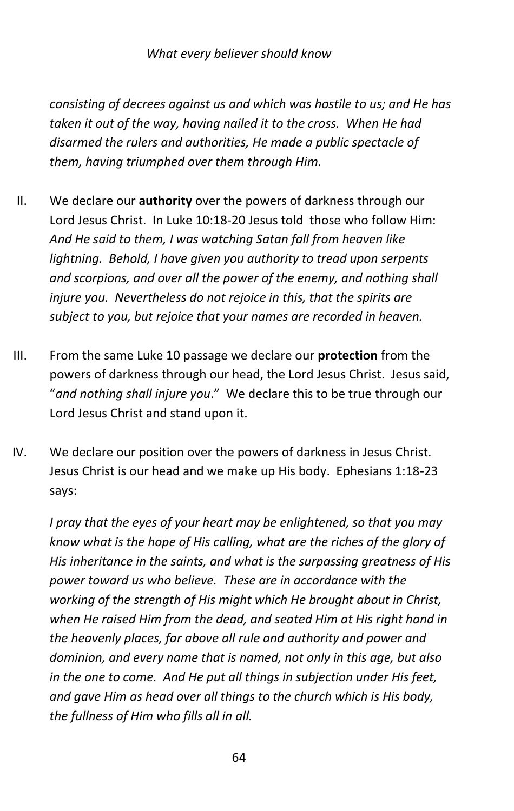*consisting of decrees against us and which was hostile to us; and He has taken it out of the way, having nailed it to the cross. When He had disarmed the rulers and authorities, He made a public spectacle of them, having triumphed over them through Him.* 

- II. We declare our **authority** over the powers of darkness through our Lord Jesus Christ. In Luke 10:18-20 Jesus told those who follow Him: *And He said to them, I was watching Satan fall from heaven like lightning. Behold, I have given you authority to tread upon serpents and scorpions, and over all the power of the enemy, and nothing shall injure you. Nevertheless do not rejoice in this, that the spirits are subject to you, but rejoice that your names are recorded in heaven.*
- III. From the same Luke 10 passage we declare our **protection** from the powers of darkness through our head, the Lord Jesus Christ. Jesus said, "*and nothing shall injure you*." We declare this to be true through our Lord Jesus Christ and stand upon it.
- IV. We declare our position over the powers of darkness in Jesus Christ. Jesus Christ is our head and we make up His body. Ephesians 1:18-23 says:

*I pray that the eyes of your heart may be enlightened, so that you may know what is the hope of His calling, what are the riches of the glory of His inheritance in the saints, and what is the surpassing greatness of His power toward us who believe. These are in accordance with the working of the strength of His might which He brought about in Christ, when He raised Him from the dead, and seated Him at His right hand in the heavenly places, far above all rule and authority and power and dominion, and every name that is named, not only in this age, but also in the one to come. And He put all things in subjection under His feet, and gave Him as head over all things to the church which is His body, the fullness of Him who fills all in all.*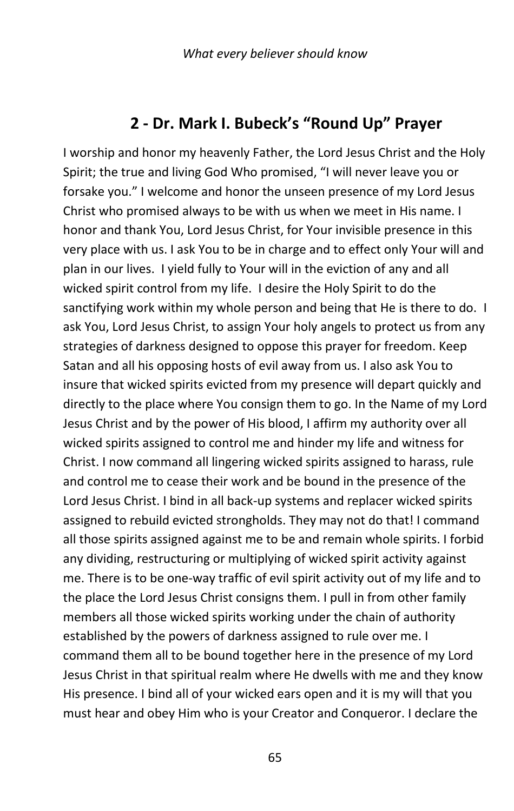# **2 - Dr. Mark I. Bubeck's "Round Up" Prayer**

I worship and honor my heavenly Father, the Lord Jesus Christ and the Holy Spirit; the true and living God Who promised, "I will never leave you or forsake you." I welcome and honor the unseen presence of my Lord Jesus Christ who promised always to be with us when we meet in His name. I honor and thank You, Lord Jesus Christ, for Your invisible presence in this very place with us. I ask You to be in charge and to effect only Your will and plan in our lives. I yield fully to Your will in the eviction of any and all wicked spirit control from my life. I desire the Holy Spirit to do the sanctifying work within my whole person and being that He is there to do. I ask You, Lord Jesus Christ, to assign Your holy angels to protect us from any strategies of darkness designed to oppose this prayer for freedom. Keep Satan and all his opposing hosts of evil away from us. I also ask You to insure that wicked spirits evicted from my presence will depart quickly and directly to the place where You consign them to go. In the Name of my Lord Jesus Christ and by the power of His blood, I affirm my authority over all wicked spirits assigned to control me and hinder my life and witness for Christ. I now command all lingering wicked spirits assigned to harass, rule and control me to cease their work and be bound in the presence of the Lord Jesus Christ. I bind in all back-up systems and replacer wicked spirits assigned to rebuild evicted strongholds. They may not do that! I command all those spirits assigned against me to be and remain whole spirits. I forbid any dividing, restructuring or multiplying of wicked spirit activity against me. There is to be one-way traffic of evil spirit activity out of my life and to the place the Lord Jesus Christ consigns them. I pull in from other family members all those wicked spirits working under the chain of authority established by the powers of darkness assigned to rule over me. I command them all to be bound together here in the presence of my Lord Jesus Christ in that spiritual realm where He dwells with me and they know His presence. I bind all of your wicked ears open and it is my will that you must hear and obey Him who is your Creator and Conqueror. I declare the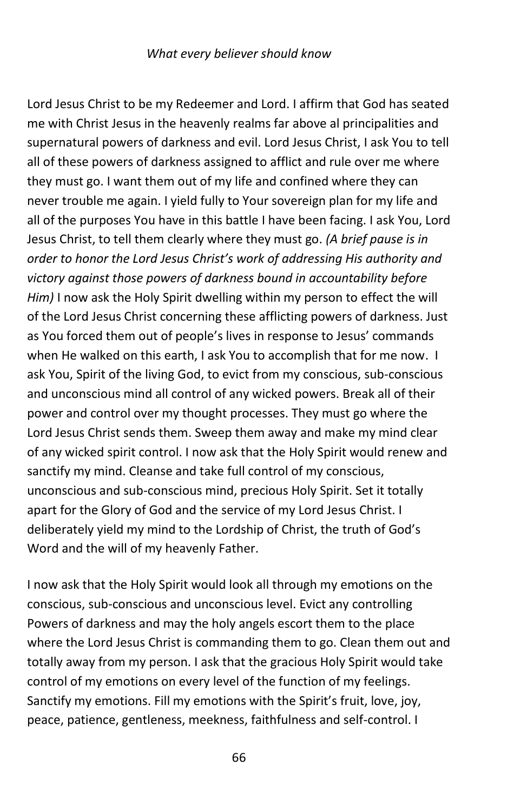Lord Jesus Christ to be my Redeemer and Lord. I affirm that God has seated me with Christ Jesus in the heavenly realms far above al principalities and supernatural powers of darkness and evil. Lord Jesus Christ, I ask You to tell all of these powers of darkness assigned to afflict and rule over me where they must go. I want them out of my life and confined where they can never trouble me again. I yield fully to Your sovereign plan for my life and all of the purposes You have in this battle I have been facing. I ask You, Lord Jesus Christ, to tell them clearly where they must go. *(A brief pause is in order to honor the Lord Jesus Christ's work of addressing His authority and victory against those powers of darkness bound in accountability before Him)* I now ask the Holy Spirit dwelling within my person to effect the will of the Lord Jesus Christ concerning these afflicting powers of darkness. Just as You forced them out of people's lives in response to Jesus' commands when He walked on this earth, I ask You to accomplish that for me now. I ask You, Spirit of the living God, to evict from my conscious, sub-conscious and unconscious mind all control of any wicked powers. Break all of their power and control over my thought processes. They must go where the Lord Jesus Christ sends them. Sweep them away and make my mind clear of any wicked spirit control. I now ask that the Holy Spirit would renew and sanctify my mind. Cleanse and take full control of my conscious, unconscious and sub-conscious mind, precious Holy Spirit. Set it totally apart for the Glory of God and the service of my Lord Jesus Christ. I deliberately yield my mind to the Lordship of Christ, the truth of God's Word and the will of my heavenly Father.

I now ask that the Holy Spirit would look all through my emotions on the conscious, sub-conscious and unconscious level. Evict any controlling Powers of darkness and may the holy angels escort them to the place where the Lord Jesus Christ is commanding them to go. Clean them out and totally away from my person. I ask that the gracious Holy Spirit would take control of my emotions on every level of the function of my feelings. Sanctify my emotions. Fill my emotions with the Spirit's fruit, love, joy, peace, patience, gentleness, meekness, faithfulness and self-control. I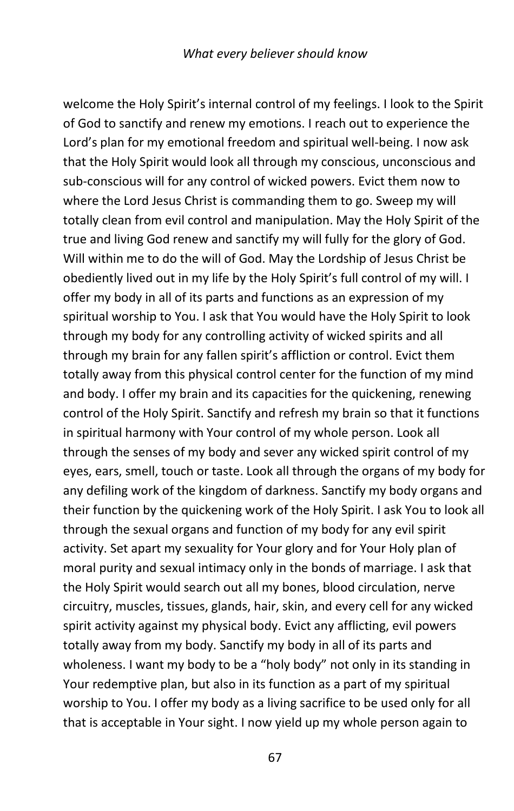welcome the Holy Spirit's internal control of my feelings. I look to the Spirit of God to sanctify and renew my emotions. I reach out to experience the Lord's plan for my emotional freedom and spiritual well-being. I now ask that the Holy Spirit would look all through my conscious, unconscious and sub-conscious will for any control of wicked powers. Evict them now to where the Lord Jesus Christ is commanding them to go. Sweep my will totally clean from evil control and manipulation. May the Holy Spirit of the true and living God renew and sanctify my will fully for the glory of God. Will within me to do the will of God. May the Lordship of Jesus Christ be obediently lived out in my life by the Holy Spirit's full control of my will. I offer my body in all of its parts and functions as an expression of my spiritual worship to You. I ask that You would have the Holy Spirit to look through my body for any controlling activity of wicked spirits and all through my brain for any fallen spirit's affliction or control. Evict them totally away from this physical control center for the function of my mind and body. I offer my brain and its capacities for the quickening, renewing control of the Holy Spirit. Sanctify and refresh my brain so that it functions in spiritual harmony with Your control of my whole person. Look all through the senses of my body and sever any wicked spirit control of my eyes, ears, smell, touch or taste. Look all through the organs of my body for any defiling work of the kingdom of darkness. Sanctify my body organs and their function by the quickening work of the Holy Spirit. I ask You to look all through the sexual organs and function of my body for any evil spirit activity. Set apart my sexuality for Your glory and for Your Holy plan of moral purity and sexual intimacy only in the bonds of marriage. I ask that the Holy Spirit would search out all my bones, blood circulation, nerve circuitry, muscles, tissues, glands, hair, skin, and every cell for any wicked spirit activity against my physical body. Evict any afflicting, evil powers totally away from my body. Sanctify my body in all of its parts and wholeness. I want my body to be a "holy body" not only in its standing in Your redemptive plan, but also in its function as a part of my spiritual worship to You. I offer my body as a living sacrifice to be used only for all that is acceptable in Your sight. I now yield up my whole person again to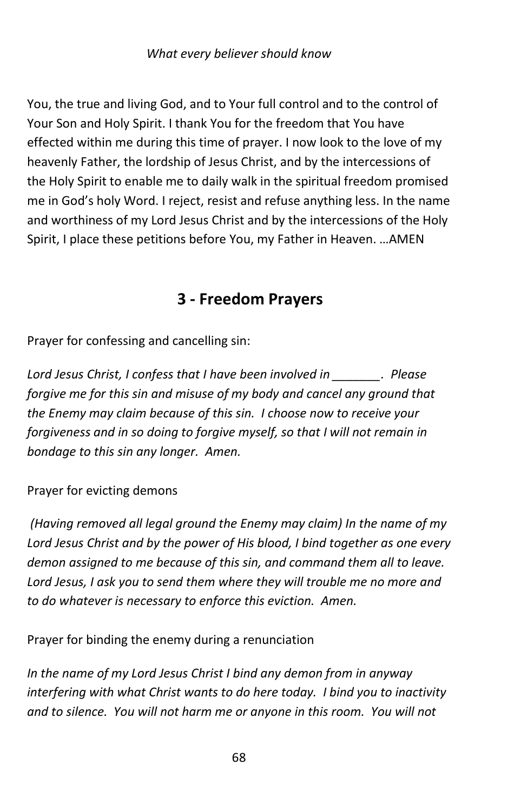You, the true and living God, and to Your full control and to the control of Your Son and Holy Spirit. I thank You for the freedom that You have effected within me during this time of prayer. I now look to the love of my heavenly Father, the lordship of Jesus Christ, and by the intercessions of the Holy Spirit to enable me to daily walk in the spiritual freedom promised me in God's holy Word. I reject, resist and refuse anything less. In the name and worthiness of my Lord Jesus Christ and by the intercessions of the Holy Spirit, I place these petitions before You, my Father in Heaven. …AMEN

# **3 - Freedom Prayers**

Prayer for confessing and cancelling sin:

*Lord Jesus Christ, I confess that I have been involved in \_\_\_\_\_\_\_. Please forgive me for this sin and misuse of my body and cancel any ground that the Enemy may claim because of this sin. I choose now to receive your forgiveness and in so doing to forgive myself, so that I will not remain in bondage to this sin any longer. Amen.* 

Prayer for evicting demons

*(Having removed all legal ground the Enemy may claim) In the name of my Lord Jesus Christ and by the power of His blood, I bind together as one every demon assigned to me because of this sin, and command them all to leave. Lord Jesus, I ask you to send them where they will trouble me no more and to do whatever is necessary to enforce this eviction. Amen.* 

Prayer for binding the enemy during a renunciation

*In the name of my Lord Jesus Christ I bind any demon from in anyway interfering with what Christ wants to do here today. I bind you to inactivity and to silence. You will not harm me or anyone in this room. You will not*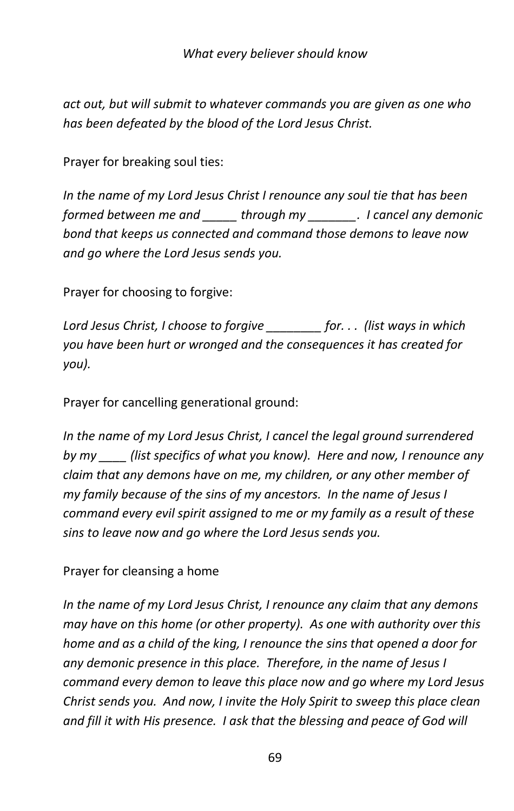*act out, but will submit to whatever commands you are given as one who has been defeated by the blood of the Lord Jesus Christ.* 

Prayer for breaking soul ties:

*In the name of my Lord Jesus Christ I renounce any soul tie that has been formed between me and \_\_\_\_\_ through my \_\_\_\_\_\_\_. I cancel any demonic bond that keeps us connected and command those demons to leave now and go where the Lord Jesus sends you.* 

Prayer for choosing to forgive:

*Lord Jesus Christ, I choose to forgive \_\_\_\_\_\_\_\_ for. . . (list ways in which you have been hurt or wronged and the consequences it has created for you).* 

Prayer for cancelling generational ground:

*In the name of my Lord Jesus Christ, I cancel the legal ground surrendered by my \_\_\_\_ (list specifics of what you know). Here and now, I renounce any claim that any demons have on me, my children, or any other member of my family because of the sins of my ancestors. In the name of Jesus I command every evil spirit assigned to me or my family as a result of these sins to leave now and go where the Lord Jesus sends you.* 

Prayer for cleansing a home

*In the name of my Lord Jesus Christ, I renounce any claim that any demons may have on this home (or other property). As one with authority over this home and as a child of the king, I renounce the sins that opened a door for any demonic presence in this place. Therefore, in the name of Jesus I command every demon to leave this place now and go where my Lord Jesus Christ sends you. And now, I invite the Holy Spirit to sweep this place clean and fill it with His presence. I ask that the blessing and peace of God will*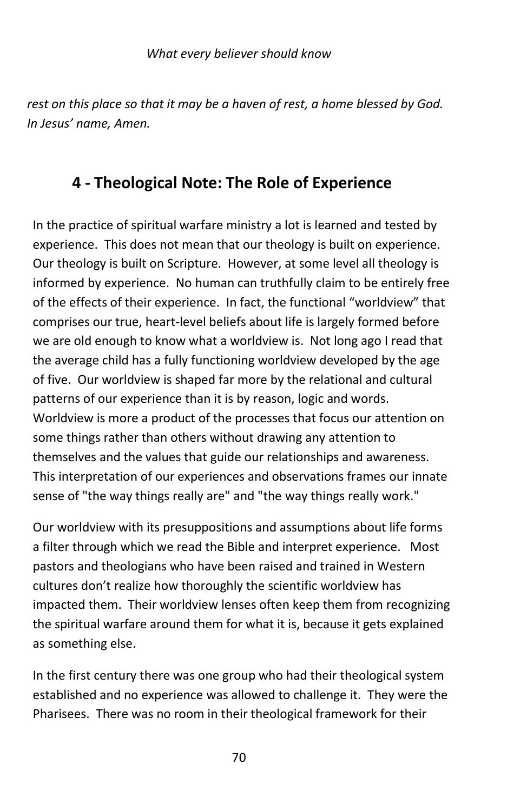*rest on this place so that it may be a haven of rest, a home blessed by God. In Jesus' name, Amen.* 

# **4 - Theological Note: The Role of Experience**

In the practice of spiritual warfare ministry a lot is learned and tested by experience. This does not mean that our theology is built on experience. Our theology is built on Scripture. However, at some level all theology is informed by experience. No human can truthfully claim to be entirely free of the effects of their experience. In fact, the functional "worldview" that comprises our true, heart-level beliefs about life is largely formed before we are old enough to know what a worldview is. Not long ago I read that the average child has a fully functioning worldview developed by the age of five. Our worldview is shaped far more by the relational and cultural patterns of our experience than it is by reason, logic and words. Worldview is more a product of the processes that focus our attention on some things rather than others without drawing any attention to themselves and the values that guide our relationships and awareness. This interpretation of our experiences and observations frames our innate sense of "the way things really are" and "the way things really work."

Our worldview with its presuppositions and assumptions about life forms a filter through which we read the Bible and interpret experience. Most pastors and theologians who have been raised and trained in Western cultures don't realize how thoroughly the scientific worldview has impacted them. Their worldview lenses often keep them from recognizing the spiritual warfare around them for what it is, because it gets explained as something else.

In the first century there was one group who had their theological system established and no experience was allowed to challenge it. They were the Pharisees. There was no room in their theological framework for their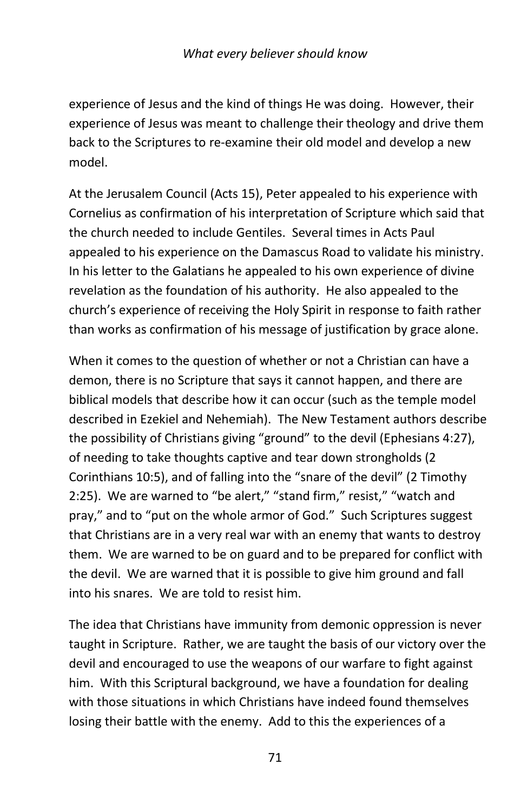experience of Jesus and the kind of things He was doing. However, their experience of Jesus was meant to challenge their theology and drive them back to the Scriptures to re-examine their old model and develop a new model.

At the Jerusalem Council (Acts 15), Peter appealed to his experience with Cornelius as confirmation of his interpretation of Scripture which said that the church needed to include Gentiles. Several times in Acts Paul appealed to his experience on the Damascus Road to validate his ministry. In his letter to the Galatians he appealed to his own experience of divine revelation as the foundation of his authority. He also appealed to the church's experience of receiving the Holy Spirit in response to faith rather than works as confirmation of his message of justification by grace alone.

When it comes to the question of whether or not a Christian can have a demon, there is no Scripture that says it cannot happen, and there are biblical models that describe how it can occur (such as the temple model described in Ezekiel and Nehemiah). The New Testament authors describe the possibility of Christians giving "ground" to the devil (Ephesians 4:27), of needing to take thoughts captive and tear down strongholds (2 Corinthians 10:5), and of falling into the "snare of the devil" (2 Timothy 2:25). We are warned to "be alert," "stand firm," resist," "watch and pray," and to "put on the whole armor of God." Such Scriptures suggest that Christians are in a very real war with an enemy that wants to destroy them. We are warned to be on guard and to be prepared for conflict with the devil. We are warned that it is possible to give him ground and fall into his snares. We are told to resist him.

The idea that Christians have immunity from demonic oppression is never taught in Scripture. Rather, we are taught the basis of our victory over the devil and encouraged to use the weapons of our warfare to fight against him. With this Scriptural background, we have a foundation for dealing with those situations in which Christians have indeed found themselves losing their battle with the enemy. Add to this the experiences of a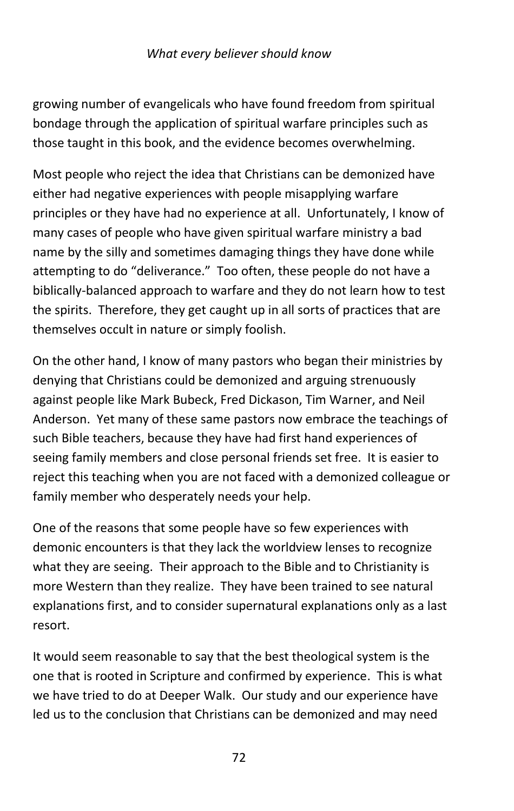growing number of evangelicals who have found freedom from spiritual bondage through the application of spiritual warfare principles such as those taught in this book, and the evidence becomes overwhelming.

Most people who reject the idea that Christians can be demonized have either had negative experiences with people misapplying warfare principles or they have had no experience at all. Unfortunately, I know of many cases of people who have given spiritual warfare ministry a bad name by the silly and sometimes damaging things they have done while attempting to do "deliverance." Too often, these people do not have a biblically-balanced approach to warfare and they do not learn how to test the spirits. Therefore, they get caught up in all sorts of practices that are themselves occult in nature or simply foolish.

On the other hand, I know of many pastors who began their ministries by denying that Christians could be demonized and arguing strenuously against people like Mark Bubeck, Fred Dickason, Tim Warner, and Neil Anderson. Yet many of these same pastors now embrace the teachings of such Bible teachers, because they have had first hand experiences of seeing family members and close personal friends set free. It is easier to reject this teaching when you are not faced with a demonized colleague or family member who desperately needs your help.

One of the reasons that some people have so few experiences with demonic encounters is that they lack the worldview lenses to recognize what they are seeing. Their approach to the Bible and to Christianity is more Western than they realize. They have been trained to see natural explanations first, and to consider supernatural explanations only as a last resort.

It would seem reasonable to say that the best theological system is the one that is rooted in Scripture and confirmed by experience. This is what we have tried to do at Deeper Walk. Our study and our experience have led us to the conclusion that Christians can be demonized and may need